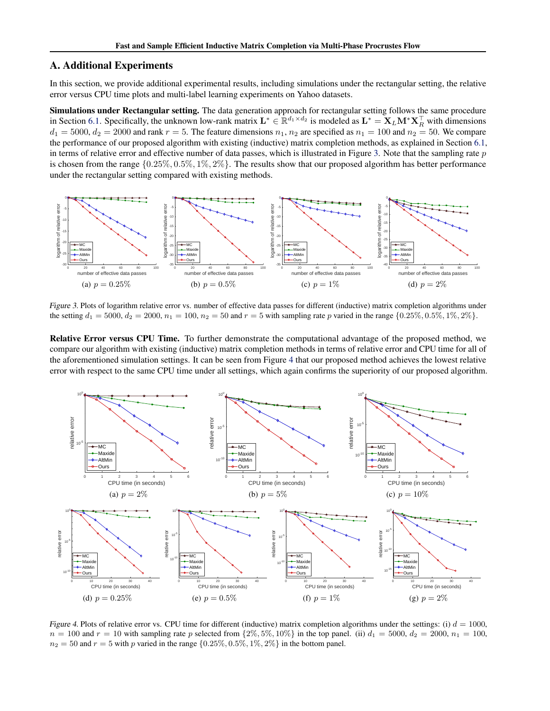# A. Additional Experiments

In this section, we provide additional experimental results, including simulations under the rectangular setting, the relative error versus CPU time plots and multi-label learning experiments on Yahoo datasets.

Simulations under Rectangular setting. The data generation approach for rectangular setting follows the same procedure in Section 6.1. Specifically, the unknown low-rank matrix  $\mathbf{L}^* \in \mathbb{R}^{d_1 \times d_2}$  is modeled as  $\mathbf{L}^* = \mathbf{X}_L \mathbf{M}^* \mathbf{X}_R^\top$  with dimensions  $d_1 = 5000$ ,  $d_2 = 2000$  and rank  $r = 5$ . The feature dimensions  $n_1$ ,  $n_2$  are specified as  $n_1 = 100$  and  $n_2 = 50$ . We compare the performance of our proposed algorithm with existing (inductive) matrix completion methods, as explained in Section 6.1, in terms of relative error and effective number of data passes, which is illustrated in Figure 3. Note that the sampling rate  $p$ is chosen from the range  $\{0.25\%, 0.5\%, 1\%, 2\%\}$ . The results show that our proposed algorithm has better performance under the rectangular setting compared with existing methods.



Figure 3. Plots of logarithm relative error vs. number of effective data passes for different (inductive) matrix completion algorithms under the setting  $d_1 = 5000$ ,  $d_2 = 2000$ ,  $n_1 = 100$ ,  $n_2 = 50$  and  $r = 5$  with sampling rate p varied in the range  $\{0.25\%, 0.5\%, 1\%, 2\%\}$ .

Relative Error versus CPU Time. To further demonstrate the computational advantage of the proposed method, we compare our algorithm with existing (inductive) matrix completion methods in terms of relative error and CPU time for all of the aforementioned simulation settings. It can be seen from Figure 4 that our proposed method achieves the lowest relative error with respect to the same CPU time under all settings, which again confirms the superiority of our proposed algorithm.



Figure 4. Plots of relative error vs. CPU time for different (inductive) matrix completion algorithms under the settings: (i)  $d = 1000$ ,  $n = 100$  and  $r = 10$  with sampling rate p selected from  $\{2\%, 5\%, 10\%\}$  in the top panel. (ii)  $d_1 = 5000$ ,  $d_2 = 2000$ ,  $n_1 = 100$ ,  $n_2 = 50$  and  $r = 5$  with p varied in the range  $\{0.25\%, 0.5\%, 1\%, 2\%\}\$  in the bottom panel.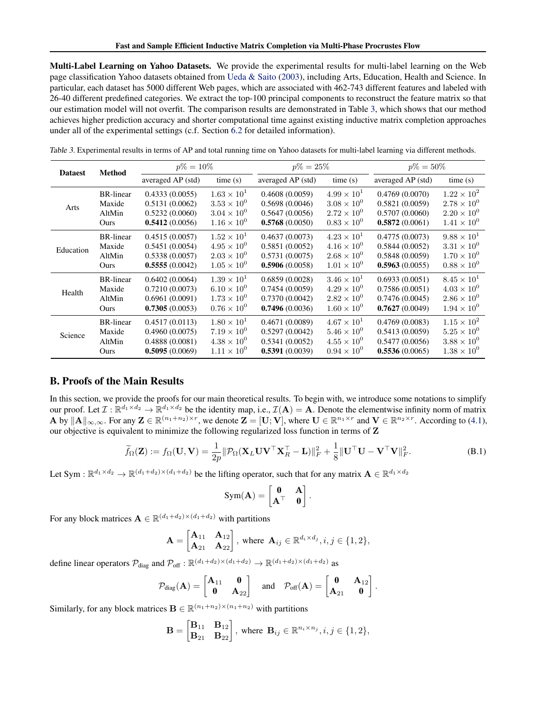Multi-Label Learning on Yahoo Datasets. We provide the experimental results for multi-label learning on the Web page classification Yahoo datasets obtained from Ueda & Saito (2003), including Arts, Education, Health and Science. In particular, each dataset has 5000 different Web pages, which are associated with 462-743 different features and labeled with 26-40 different predefined categories. We extract the top-100 principal components to reconstruct the feature matrix so that our estimation model will not overfit. The comparison results are demonstrated in Table 3, which shows that our method achieves higher prediction accuracy and shorter computational time against existing inductive matrix completion approaches under all of the experimental settings (c.f. Section 6.2 for detailed information).

| <b>Dataest</b> | <b>Method</b>    | $p\% = 10\%$      |                      | $p\% = 25\%$      |                      | $p\% = 50\%$      |                      |
|----------------|------------------|-------------------|----------------------|-------------------|----------------------|-------------------|----------------------|
|                |                  | averaged AP (std) | time(s)              | averaged AP (std) | time(s)              | averaged AP (std) | time(s)              |
| Arts           | <b>BR-linear</b> | 0.4333(0.0055)    | $1.63 \times 10^{1}$ | 0.4608(0.0059)    | $4.99 \times 10^{1}$ | 0.4769(0.0070)    | $1.22 \times 10^{2}$ |
|                | Maxide           | 0.5131(0.0062)    | $3.53 \times 10^{0}$ | 0.5698(0.0046)    | $3.08 \times 10^{0}$ | 0.5821(0.0059)    | $2.78 \times 10^{0}$ |
|                | AltMin           | 0.5232(0.0060)    | $3.04 \times 10^{0}$ | 0.5647(0.0056)    | $2.72 \times 10^{0}$ | 0.5707(0.0060)    | $2.20 \times 10^{0}$ |
|                | Ours             | 0.5412(0.0056)    | $1.16 \times 10^{0}$ | 0.5768(0.0050)    | $0.83 \times 10^{0}$ | 0.5872(0.0061)    | $1.41 \times 10^{0}$ |
| Education      | <b>BR-linear</b> | 0.4515(0.0057)    | $1.52 \times 10^{1}$ | 0.4637(0.0073)    | $4.23 \times 10^{1}$ | 0.4775(0.0073)    | $9.88 \times 10^{1}$ |
|                | Maxide           | 0.5451(0.0054)    | $4.95 \times 10^{0}$ | 0.5851(0.0052)    | $4.16 \times 10^{0}$ | 0.5844(0.0052)    | $3.31 \times 10^{0}$ |
|                | AltMin           | 0.5338(0.0057)    | $2.03 \times 10^{0}$ | 0.5731(0.0075)    | $2.68 \times 10^{0}$ | 0.5848(0.0059)    | $1.70 \times 10^{0}$ |
|                | Ours             | 0.5555(0.0042)    | $1.05 \times 10^{0}$ | 0.5906(0.0058)    | $1.01 \times 10^{0}$ | 0.5963(0.0055)    | $0.88 \times 10^{0}$ |
| Health         | <b>BR-linear</b> | 0.6402(0.0064)    | $1.39 \times 10^{1}$ | 0.6859(0.0028)    | $3.46 \times 10^{1}$ | 0.6933(0.0051)    | $8.45 \times 10^{1}$ |
|                | Maxide           | 0.7210(0.0073)    | $6.10 \times 10^{0}$ | 0.7454(0.0059)    | $4.29 \times 10^{0}$ | 0.7586(0.0051)    | $4.03 \times 10^{0}$ |
|                | AltMin           | 0.6961(0.0091)    | $1.73 \times 10^{0}$ | 0.7370(0.0042)    | $2.82 \times 10^{0}$ | 0.7476(0.0045)    | $2.86 \times 10^{0}$ |
|                | Ours             | 0.7305(0.0053)    | $0.76 \times 10^{0}$ | 0.7496(0.0036)    | $1.60 \times 10^{0}$ | 0.7627(0.0049)    | $1.94 \times 10^{0}$ |
| Science        | <b>BR-linear</b> | 0.4517(0.0113)    | $1.80 \times 10^{1}$ | 0.4671(0.0089)    | $4.67 \times 10^{1}$ | 0.4769(0.0083)    | $1.15 \times 10^{2}$ |
|                | Maxide           | 0.4960(0.0075)    | $7.19 \times 10^{0}$ | 0.5297(0.0042)    | $5.46 \times 10^{0}$ | 0.5413(0.0059)    | $5.25 \times 10^{0}$ |
|                | AltMin           | 0.4888(0.0081)    | $4.38 \times 10^{0}$ | 0.5341(0.0052)    | $4.55 \times 10^{0}$ | 0.5477(0.0056)    | $3.88 \times 10^{0}$ |
|                | Ours             | 0.5095(0.0069)    | $1.11 \times 10^{0}$ | 0.5391(0.0039)    | $0.94 \times 10^{0}$ | 0.5536(0.0065)    | $1.38 \times 10^{0}$ |

Table 3. Experimental results in terms of AP and total running time on Yahoo datasets for multi-label learning via different methods.

# B. Proofs of the Main Results

In this section, we provide the proofs for our main theoretical results. To begin with, we introduce some notations to simplify our proof. Let  $\mathcal{I}: \mathbb{R}^{d_1 \times d_2} \to \mathbb{R}^{d_1 \times d_2}$  be the identity map, i.e.,  $\mathcal{I}(\mathbf{A}) = \mathbf{A}$ . Denote the elementwise infinity norm of matrix A by  $||A||_{\infty,\infty}$ . For any  $\mathbf{Z} \in \mathbb{R}^{(n_1+n_2)\times r}$ , we denote  $\mathbf{Z} = [\mathbf{U}; \mathbf{V}]$ , where  $\mathbf{U} \in \mathbb{R}^{n_1 \times r}$  and  $\mathbf{V} \in \mathbb{R}^{n_2 \times r}$ . According to (4.1), our objective is equivalent to minimize the following regularized loss function in terms of Z

$$
\widetilde{f}_{\Omega}(\mathbf{Z}) := f_{\Omega}(\mathbf{U}, \mathbf{V}) = \frac{1}{2p} \|\mathcal{P}_{\Omega}(\mathbf{X}_{L} \mathbf{U} \mathbf{V}^{\top} \mathbf{X}_{R}^{\top} - \mathbf{L})\|_{F}^{2} + \frac{1}{8} \|\mathbf{U}^{\top} \mathbf{U} - \mathbf{V}^{\top} \mathbf{V}\|_{F}^{2}.
$$
\n(B.1)

Let Sym :  $\mathbb{R}^{d_1 \times d_2} \to \mathbb{R}^{(d_1 + d_2) \times (d_1 + d_2)}$  be the lifting operator, such that for any matrix  $\mathbf{A} \in \mathbb{R}^{d_1 \times d_2}$ 

$$
Sym(\mathbf{A}) = \begin{bmatrix} \mathbf{0} & \mathbf{A} \\ \mathbf{A}^{\top} & \mathbf{0} \end{bmatrix}.
$$

For any block matrices  $\mathbf{A} \in \mathbb{R}^{(d_1+d_2) \times (d_1+d_2)}$  with partitions

$$
\mathbf{A} = \begin{bmatrix} \mathbf{A}_{11} & \mathbf{A}_{12} \\ \mathbf{A}_{21} & \mathbf{A}_{22} \end{bmatrix}, \text{ where } \mathbf{A}_{ij} \in \mathbb{R}^{d_i \times d_j}, i, j \in \{1, 2\},\
$$

define linear operators  $\mathcal{P}_{\text{diag}}$  and  $\mathcal{P}_{\text{off}}$ :  $\mathbb{R}^{(d_1+d_2)\times(d_1+d_2)} \to \mathbb{R}^{(d_1+d_2)\times(d_1+d_2)}$  as

$$
\mathcal{P}_{\text{diag}}(\mathbf{A}) = \begin{bmatrix} \mathbf{A}_{11} & \mathbf{0} \\ \mathbf{0} & \mathbf{A}_{22} \end{bmatrix} \quad \text{and} \quad \mathcal{P}_{\text{off}}(\mathbf{A}) = \begin{bmatrix} \mathbf{0} & \mathbf{A}_{12} \\ \mathbf{A}_{21} & \mathbf{0} \end{bmatrix}.
$$

Similarly, for any block matrices  $\mathbf{B} \in \mathbb{R}^{(n_1+n_2)\times(n_1+n_2)}$  with partitions

$$
\mathbf{B} = \begin{bmatrix} \mathbf{B}_{11} & \mathbf{B}_{12} \\ \mathbf{B}_{21} & \mathbf{B}_{22} \end{bmatrix}, \text{ where } \mathbf{B}_{ij} \in \mathbb{R}^{n_i \times n_j}, i, j \in \{1, 2\},
$$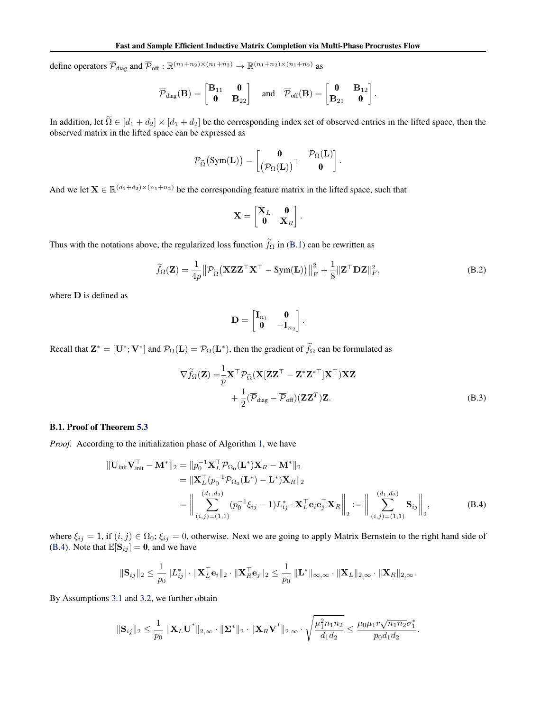define operators  $\overline{\mathcal{P}}_{diag}$  and  $\overline{\mathcal{P}}_{off}$  :  $\mathbb{R}^{(n_1+n_2)\times(n_1+n_2)} \to \mathbb{R}^{(n_1+n_2)\times(n_1+n_2)}$  as

$$
\overline{\mathcal{P}}_{\text{diag}}(\mathbf{B}) = \begin{bmatrix} \mathbf{B}_{11} & \mathbf{0} \\ \mathbf{0} & \mathbf{B}_{22} \end{bmatrix} \quad \text{and} \quad \overline{\mathcal{P}}_{\text{off}}(\mathbf{B}) = \begin{bmatrix} \mathbf{0} & \mathbf{B}_{12} \\ \mathbf{B}_{21} & \mathbf{0} \end{bmatrix}.
$$

In addition, let  $\Omega \in [d_1 + d_2] \times [d_1 + d_2]$  be the corresponding index set of observed entries in the lifted space, then the observed matrix in the lifted space can be expressed as

$$
\mathcal{P}_{\widetilde\Omega}\big(\text{Sym}(\mathbf{L})\big) = \begin{bmatrix} \mathbf{0} & \mathcal{P}_{\Omega}(\mathbf{L}) \\ \left(\mathcal{P}_{\Omega}(\mathbf{L})\right)^\top & \mathbf{0} \end{bmatrix}.
$$

And we let  $X \in \mathbb{R}^{(d_1+d_2)\times(n_1+n_2)}$  be the corresponding feature matrix in the lifted space, such that

$$
\mathbf{X} = \begin{bmatrix} \mathbf{X}_L & \mathbf{0} \\ \mathbf{0} & \mathbf{X}_R \end{bmatrix}.
$$

Thus with the notations above, the regularized loss function  $\tilde{f}_{\Omega}$  in (B.1) can be rewritten as

$$
\widetilde{f}_{\Omega}(\mathbf{Z}) = \frac{1}{4p} \left\| \mathcal{P}_{\widetilde{\Omega}} \left( \mathbf{X} \mathbf{Z} \mathbf{Z}^{\top} \mathbf{X}^{\top} - \mathbf{Sym}(\mathbf{L}) \right) \right\|_{F}^{2} + \frac{1}{8} \left\| \mathbf{Z}^{\top} \mathbf{D} \mathbf{Z} \right\|_{F}^{2},\tag{B.2}
$$

where D is defined as

$$
\mathbf{D} = \begin{bmatrix} \mathbf{I}_{n_1} & \mathbf{0} \\ \mathbf{0} & -\mathbf{I}_{n_2} \end{bmatrix}.
$$

Recall that  $\mathbf{Z}^* = [\mathbf{U}^*; \mathbf{V}^*]$  and  $\mathcal{P}_{\Omega}(\mathbf{L}) = \mathcal{P}_{\Omega}(\mathbf{L}^*)$ , then the gradient of  $\hat{f}_{\Omega}$  can be formulated as

$$
\nabla \widetilde{f}_{\Omega}(\mathbf{Z}) = \frac{1}{p} \mathbf{X}^{\top} \mathcal{P}_{\widetilde{\Omega}}(\mathbf{X} [\mathbf{Z} \mathbf{Z}^{\top} - \mathbf{Z}^* \mathbf{Z}^{*\top}] \mathbf{X}^{\top}) \mathbf{X} \mathbf{Z} + \frac{1}{2} (\overline{\mathcal{P}}_{\text{diag}} - \overline{\mathcal{P}}_{\text{off}}) (\mathbf{Z} \mathbf{Z}^{\top}) \mathbf{Z}.
$$
 (B.3)

### B.1. Proof of Theorem 5.3

*Proof.* According to the initialization phase of Algorithm 1, we have

$$
\begin{split} \|\mathbf{U}_{\text{init}}\mathbf{V}_{\text{init}}^{\top} - \mathbf{M}^{*}\|_{2} &= \|p_{0}^{-1}\mathbf{X}_{L}^{\top}\mathcal{P}_{\Omega_{0}}(\mathbf{L}^{*})\mathbf{X}_{R} - \mathbf{M}^{*}\|_{2} \\ &= \|\mathbf{X}_{L}^{\top}(p_{0}^{-1}\mathcal{P}_{\Omega_{0}}(\mathbf{L}^{*}) - \mathbf{L}^{*})\mathbf{X}_{R}\|_{2} \\ &= \left\|\sum_{(i,j)=(1,1)}^{(d_{1},d_{2})} (p_{0}^{-1}\xi_{ij} - 1)L_{ij}^{*} \cdot \mathbf{X}_{L}^{\top}\mathbf{e}_{i}\mathbf{e}_{j}^{\top}\mathbf{X}_{R}\right\|_{2} := \left\|\sum_{(i,j)=(1,1)}^{(d_{1},d_{2})} \mathbf{S}_{ij}\right\|_{2}, \end{split} \tag{B.4}
$$

where  $\xi_{ij} = 1$ , if  $(i, j) \in \Omega_0$ ;  $\xi_{ij} = 0$ , otherwise. Next we are going to apply Matrix Bernstein to the right hand side of (B.4). Note that  $\mathbb{E}[\mathbf{S}_{ij}] = \mathbf{0}$ , and we have

$$
\|\mathbf{S}_{ij}\|_2 \leq \frac{1}{p_0} |L_{ij}^*| \cdot \|\mathbf{X}_L^{\top} \mathbf{e}_i\|_2 \cdot \|\mathbf{X}_R^{\top} \mathbf{e}_j\|_2 \leq \frac{1}{p_0} \|\mathbf{L}^* \|_{\infty,\infty} \cdot \|\mathbf{X}_L\|_{2,\infty} \cdot \|\mathbf{X}_R\|_{2,\infty}.
$$

By Assumptions 3.1 and 3.2, we further obtain

$$
\|\mathbf{S}_{ij}\|_2 \leq \frac{1}{p_0} \|\mathbf{X}_L \overline{\mathbf{U}}^*\|_{2,\infty} \cdot \|\mathbf{\Sigma}^*\|_2 \cdot \|\mathbf{X}_R \overline{\mathbf{V}}^*\|_{2,\infty} \cdot \sqrt{\frac{\mu_1^2 n_1 n_2}{d_1 d_2}} \leq \frac{\mu_0 \mu_1 r \sqrt{n_1 n_2} \sigma_1^*}{p_0 d_1 d_2}.
$$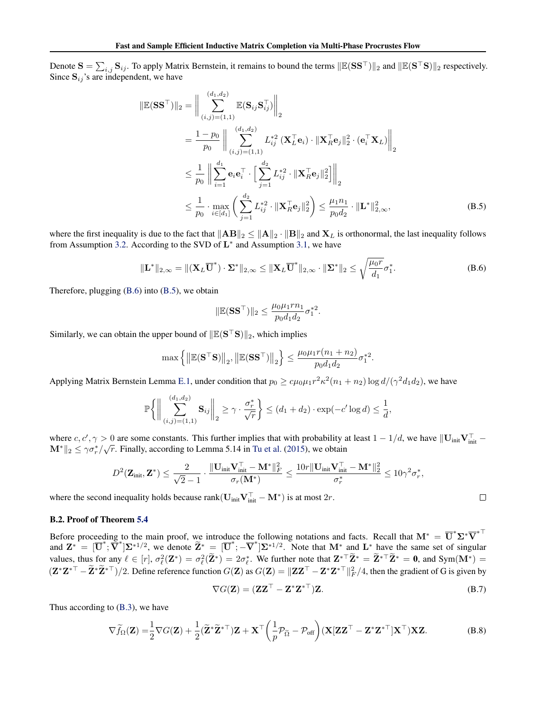Denote  $S = \sum_{i,j} \mathbf{S}_{ij}$ . To apply Matrix Bernstein, it remains to bound the terms  $\|\mathbb{E}(\mathbf{S}\mathbf{S}^{\top})\|_2$  and  $\|\mathbb{E}(\mathbf{S}^{\top}\mathbf{S})\|_2$  respectively. Since  $S_{ij}$ 's are independent, we have

$$
\|\mathbb{E}(\mathbf{S}\mathbf{S}^{\top})\|_{2} = \Big\|\sum_{(i,j)=(1,1)}^{(d_{1},d_{2})} \mathbb{E}(\mathbf{S}_{ij}\mathbf{S}_{ij}^{\top})\Big\|_{2}
$$
  
\n
$$
= \frac{1-p_{0}}{p_{0}} \Big\|\sum_{(i,j)=(1,1)}^{(d_{1},d_{2})} L_{ij}^{*2}(\mathbf{X}_{L}^{\top}\mathbf{e}_{i}) \cdot \|\mathbf{X}_{R}^{\top}\mathbf{e}_{j}\|_{2}^{2} \cdot (\mathbf{e}_{i}^{\top}\mathbf{X}_{L})\Big\|_{2}
$$
  
\n
$$
\leq \frac{1}{p_{0}} \Big\|\sum_{i=1}^{d_{1}} \mathbf{e}_{i} \mathbf{e}_{i}^{\top} \cdot \Big[\sum_{j=1}^{d_{2}} L_{ij}^{*2} \cdot \|\mathbf{X}_{R}^{\top}\mathbf{e}_{j}\|_{2}^{2}\Big]\Big\|_{2}
$$
  
\n
$$
\leq \frac{1}{p_{0}} \cdot \max_{i \in [d_{1}]} \Big(\sum_{j=1}^{d_{2}} L_{ij}^{*2} \cdot \|\mathbf{X}_{R}^{\top}\mathbf{e}_{j}\|_{2}^{2}\Big) \leq \frac{\mu_{1}n_{1}}{p_{0}d_{2}} \cdot \|\mathbf{L}^{*}\|_{2,\infty}^{2}, \tag{B.5}
$$

where the first inequality is due to the fact that  $||AB||_2 \le ||A||_2 \cdot ||B||_2$  and  $X_L$  is orthonormal, the last inequality follows from Assumption 3.2. According to the SVD of  $L^*$  and Assumption 3.1, we have

$$
\|\mathbf{L}^*\|_{2,\infty} = \|(\mathbf{X}_L \overline{\mathbf{U}}^*) \cdot \mathbf{\Sigma}^*\|_{2,\infty} \le \|\mathbf{X}_L \overline{\mathbf{U}}^*\|_{2,\infty} \cdot \|\mathbf{\Sigma}^*\|_2 \le \sqrt{\frac{\mu_0 r}{d_1}} \sigma_1^*.
$$
 (B.6)

Therefore, plugging (B.6) into (B.5), we obtain

$$
\|\mathbb{E}(\mathbf{S}\mathbf{S}^{\top})\|_2 \le \frac{\mu_0 \mu_1 r n_1}{p_0 d_1 d_2} \sigma_1^{*2}.
$$

Similarly, we can obtain the upper bound of  $\|\mathbb{E}(S^{\top}S)\|_2$ , which implies

$$
\max \left\{ \left\| \mathbb{E}(\mathbf{S}^\top \mathbf{S}) \right\|_2, \left\| \mathbb{E}(\mathbf{S} \mathbf{S}^\top) \right\|_2 \right\} \le \frac{\mu_0 \mu_1 r(n_1 + n_2)}{p_0 d_1 d_2} \sigma_1^{*2}
$$

Applying Matrix Bernstein Lemma E.1, under condition that  $p_0 \geq c\mu_0\mu_1 r^2 \kappa^2(n_1+n_2)\log d/(\gamma^2d_1d_2)$ , we have

$$
\mathbb{P}\bigg\{\bigg\|\sum_{(i,j)=(1,1)}^{(d_1,d_2)}\mathbf{S}_{ij}\bigg\|_2\geq \gamma\cdot\frac{\sigma_r^*}{\sqrt{r}}\bigg\}\leq (d_1+d_2)\cdot\exp(-c'\log d)\leq\frac{1}{d},
$$

where  $c, c', \gamma > 0$  are some constants. This further implies that with probability at least  $1 - 1/d$ , we have  $\|\mathbf{U}_{\text{init}}\mathbf{V}_{\text{init}}^{\top} - \mathbf{V}_{\text{init}}\|$  $\mathbf{M}^*\|_2 \leq \gamma \sigma_r^*/\sqrt{r}$ . Finally, according to Lemma 5.14 in Tu et al. (2015), we obtain

$$
D^2(\mathbf{Z}_{\text{init}}, \mathbf{Z}^*) \leq \frac{2}{\sqrt{2}-1} \cdot \frac{\|\mathbf{U}_{\text{init}} \mathbf{V}_{\text{init}}^\top - \mathbf{M}^*\|_F^2}{\sigma_r(\mathbf{M}^*)} \leq \frac{10r \|\mathbf{U}_{\text{init}} \mathbf{V}_{\text{init}}^\top - \mathbf{M}^*\|_2^2}{\sigma_r^*} \leq 10\gamma^2 \sigma_r^*,
$$

where the second inequality holds because rank( $\mathbf{U}_{init} \mathbf{V}_{init}^{\top} - \mathbf{M}^*$ ) is at most  $2r$ .

# B.2. Proof of Theorem 5.4

Before proceeding to the main proof, we introduce the following notations and facts. Recall that  $M^* = \overline{U}^* \Sigma^* \overline{V}^{* \top}$ and  $\mathbf{Z}^* = [\mathbf{U}^*; \overline{\mathbf{V}}^*] \mathbf{\Sigma}^{*1/2}$ , we denote  $\mathbf{\Sigma}^* = [\mathbf{U}^*; -\mathbf{\overline{V}}^*] \mathbf{\Sigma}^{*1/2}$ . Note that  $\mathbf{M}^*$  and  $\mathbf{L}^*$  have the same set of singular values, thus for any  $\ell \in [r]$ ,  $\sigma_{\ell}^2(\mathbf{Z}^*) = \sigma_{\ell}^2(\mathbf{Z}^*) = 2\sigma_{\ell}^*$ . We further note that  $\mathbf{Z}^{*T}\widetilde{\mathbf{Z}}^* = \widetilde{\mathbf{Z}}^{*T}\widetilde{\mathbf{Z}}^* = \mathbf{0}$ , and Sym(M<sup>\*</sup>) =  $(\mathbf{Z}^* \mathbf{Z}^{*\top} - \tilde{\mathbf{Z}}^* \tilde{\mathbf{Z}}^{*\top})/2$ . Define reference function  $G(\mathbf{Z})$  as  $G(\mathbf{Z}) = ||\mathbf{Z}\mathbf{Z}^{\top} - \mathbf{Z}^* \mathbf{Z}^{*\top}||_F^2/4$ , then the gradient of G is given by

$$
\nabla G(\mathbf{Z}) = (\mathbf{Z}\mathbf{Z}^{\top} - \mathbf{Z}^* \mathbf{Z}^{*\top})\mathbf{Z}.
$$
 (B.7)

.

 $\Box$ 

Thus according to (B.3), we have

$$
\nabla \widetilde{f}_{\Omega}(\mathbf{Z}) = \frac{1}{2} \nabla G(\mathbf{Z}) + \frac{1}{2} (\widetilde{\mathbf{Z}}^* \widetilde{\mathbf{Z}}^{*\top}) \mathbf{Z} + \mathbf{X}^\top \left( \frac{1}{p} \mathcal{P}_{\widetilde{\Omega}} - \mathcal{P}_{\text{off}} \right) (\mathbf{X} [\mathbf{Z} \mathbf{Z}^\top - \mathbf{Z}^* \mathbf{Z}^{*\top}] \mathbf{X}^\top) \mathbf{X} \mathbf{Z}.
$$
 (B.8)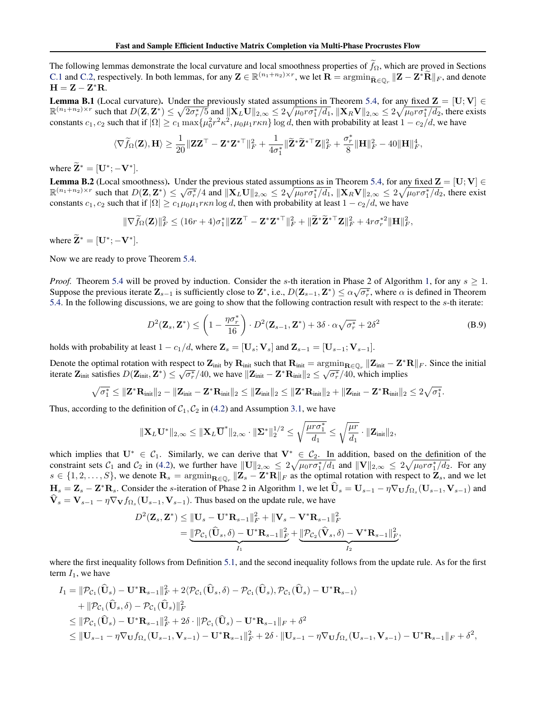The following lemmas demonstrate the local curvature and local smoothness properties of  $f_{\Omega}$ , which are proved in Sections C.1 and C.2, respectively. In both lemmas, for any  $\mathbf{Z} \in \mathbb{R}^{(n_1+n_2)\times r}$ , we let  $\mathbf{R} = \operatorname{argmin}_{\tilde{\mathbf{R}} \in \mathbb{Q}_r} ||\mathbf{Z} - \mathbf{Z}^* \tilde{\mathbf{R}}||_F$ , and denote  $H = Z - Z^*R.$ 

**Lemma B.1** (Local curvature). Under the previously stated assumptions in Theorem 5.4, for any fixed  $\mathbf{Z} = [\mathbf{U}; \mathbf{V}] \in$  $\mathbb{R}^{(n_1+n_2)\times r}$  such that  $D(\mathbf{Z}, \mathbf{Z}^*) \leq \sqrt{2\sigma_r^*/5}$  and  $\|\mathbf{X}_L\mathbf{U}\|_{2,\infty} \leq 2\sqrt{\mu_0 r \sigma_1^*/d_1}$ ,  $\|\mathbf{X}_R\mathbf{V}\|_{2,\infty} \leq 2\sqrt{\mu_0 r \sigma_1^*/d_2}$ , there exists constants  $c_1, c_2$  such that if  $|\Omega| \ge c_1 \max{\{\mu_0^2 r^2 \kappa^2, \mu_0 \mu_1 r \kappa n\}} \log d$ , then with probability at least  $1 - c_2/d$ , we have

$$
\langle\nabla\widetilde{f}_\Omega(\mathbf{Z}),\mathbf{H}\rangle\geq\frac{1}{20}\|\mathbf{Z}\mathbf{Z}^\top-\mathbf{Z}^*\mathbf{Z}^{*\top}\|_F^2+\frac{1}{4\sigma_1^*}\|\widetilde{\mathbf{Z}}^*\widetilde{\mathbf{Z}}^{*\top}\mathbf{Z}\|_F^2+\frac{\sigma_r^*}{8}\|\mathbf{H}\|_F^2-40\|\mathbf{H}\|_F^4,
$$

where  $\widetilde{\mathbf{Z}}^* = [\mathbf{U}^*; -\mathbf{V}^*].$ 

**Lemma B.2** (Local smoothness). Under the previous stated assumptions as in Theorem 5.4, for any fixed  $\mathbf{Z} = [\mathbf{U}; \mathbf{V}] \in$ **Example 5.2** (Local shootiness). Onder the previous stated assumptions as in Theorem 5.4, for any lixed  $\mathbf{Z} = [\mathbf{C}, \mathbf{v}] \in$ <br> $\mathbb{R}^{(n_1+n_2)\times r}$  such that  $D(\mathbf{Z}, \mathbf{Z}^*) \le \sqrt{\sigma_r^2/4}$  and  $\|\mathbf{X}_L \mathbf{U}\|_{2,\infty} \le 2\$ constants  $c_1, c_2$  such that if  $|\Omega| \ge c_1 \mu_0 \mu_1 r \kappa n \log d$ , then with probability at least  $1 - c_2/d$ , we have

$$
\|\nabla \widetilde{f}_{\Omega}(\mathbf{Z})\|_{F}^{2} \leq (16r+4)\sigma_1^* \|\mathbf{Z}\mathbf{Z}^{\top} - \mathbf{Z}^* \mathbf{Z}^{*\top}\|_{F}^2 + \|\widetilde{\mathbf{Z}}^* \widetilde{\mathbf{Z}}^{*\top} \mathbf{Z}\|_{F}^2 + 4r\sigma_r^{*2} \|\mathbf{H}\|_{F}^2,
$$

where  $\widetilde{\mathbf{Z}}^* = [\mathbf{U}^*; -\mathbf{V}^*].$ 

Now we are ready to prove Theorem 5.4.

*Proof.* Theorem 5.4 will be proved by induction. Consider the s-th iteration in Phase 2 of Algorithm 1, for any  $s \ge 1$ . Suppose the previous iterate  $\mathbf{Z}_{s-1}$  is sufficiently close to  $\mathbf{Z}^*$ , i.e.,  $D(\mathbf{Z}_{s-1}, \mathbf{Z}^*) \leq \alpha \sqrt{\sigma_r^*}$ , where  $\alpha$  is defined in Theorem 5.4. In the following discussions, we are going to show that the following contraction result with respect to the s-th iterate:

$$
D^{2}(\mathbf{Z}_{s}, \mathbf{Z}^{*}) \leq \left(1 - \frac{\eta \sigma_{r}^{*}}{16}\right) \cdot D^{2}(\mathbf{Z}_{s-1}, \mathbf{Z}^{*}) + 3\delta \cdot \alpha \sqrt{\sigma_{r}^{*}} + 2\delta^{2}
$$
\n(B.9)

holds with probability at least  $1 - c_1/d$ , where  $\mathbf{Z}_s = [\mathbf{U}_s; \mathbf{V}_s]$  and  $\mathbf{Z}_{s-1} = [\mathbf{U}_{s-1}; \mathbf{V}_{s-1}].$ 

Denote the optimal rotation with respect to  $\mathbf{Z}_{init}$  by  $\mathbf{R}_{init}$  such that  $\mathbf{R}_{init} = \operatorname{argmin}_{\mathbf{R} \in \mathbb{Q}_r} ||\mathbf{Z}_{init} - \mathbf{Z}^* \mathbf{R}||_F$ . Since the initial iterate  $\mathbf{Z}_{\text{init}}$  satisfies  $D(\mathbf{Z}_{\text{init}}, \mathbf{Z}^*) \le \sqrt{\sigma_r^*}/40$ , we have  $\|\mathbf{Z}_{\text{init}} - \mathbf{Z}^* \mathbf{R}_{\text{init}} \|_2 \le \sqrt{\sigma_r^*}/40$ , which implies

$$
\sqrt{\sigma^*_1} \leq \|\mathbf{Z}^*\mathbf{R}_{init}\|_2 - \|\mathbf{Z}_{init} - \mathbf{Z}^*\mathbf{R}_{init}\|_2 \leq \|\mathbf{Z}_{init}\|_2 \leq \|\mathbf{Z}^*\mathbf{R}_{init}\|_2 + \|\mathbf{Z}_{init} - \mathbf{Z}^*\mathbf{R}_{init}\|_2 \leq 2\sqrt{\sigma^*_1}.
$$

Thus, according to the definition of  $C_1$ ,  $C_2$  in (4.2) and Assumption 3.1, we have

$$
\|\mathbf{X}_L \mathbf{U}^*\|_{2,\infty} \leq \|\mathbf{X}_L \overline{\mathbf{U}}^*\|_{2,\infty} \cdot \|\mathbf{\Sigma}^*\|_2^{1/2} \leq \sqrt{\frac{\mu r \sigma_1^*}{d_1}} \leq \sqrt{\frac{\mu r}{d_1}} \cdot \|\mathbf{Z}_{\text{init}}\|_2,
$$

which implies that  $U^* \in C_1$ . Similarly, we can derive that  $V^* \in C_2$ . In addition, based on the definition of the constraint sets  $C_1$  and  $C_2$  in (4.2), we further have  $||\mathbf{U}||_{2,\infty} \leq 2\sqrt{\mu_0 r \sigma_1^*/d_1}$  and  $||\mathbf{V}||_{2,\infty} \leq 2\sqrt{\mu_0 r \sigma_1^*/d_2}$ . For any  $s \in \{1, 2, \ldots, S\}$ , we denote  $\mathbf{R}_s = \operatorname{argmin}_{\mathbf{R} \in \mathbb{Q}_r} \|\mathbf{Z}_s - \mathbf{Z}^* \mathbf{R}\|_F$  as the optimal rotation with respect to  $\mathbf{Z}_s$ , and we let  $H_s = Z_s - Z^*R_s$ . Consider the s-iteration of Phase 2 in Algorithm 1, we let  $\widehat{U}_s = U_{s-1} - \eta \nabla_U f_{\Omega_s}(U_{s-1}, V_{s-1})$  and  $\mathbf{V}_s = \mathbf{V}_{s-1} - \eta \nabla_{\mathbf{V}} f_{\Omega_s}(\mathbf{U}_{s-1}, \mathbf{V}_{s-1}).$  Thus based on the update rule, we have

$$
D^{2}(\mathbf{Z}_{s},\mathbf{Z}^{*}) \leq \|\mathbf{U}_{s}-\mathbf{U}^{*}\mathbf{R}_{s-1}\|_{F}^{2} + \|\mathbf{V}_{s}-\mathbf{V}^{*}\mathbf{R}_{s-1}\|_{F}^{2}
$$
  
= 
$$
\underbrace{\|\mathcal{P}_{\mathcal{C}_{1}}(\widehat{\mathbf{U}}_{s},\delta)-\mathbf{U}^{*}\mathbf{R}_{s-1}\|_{F}^{2}}_{I_{1}} + \underbrace{\|\mathcal{P}_{\mathcal{C}_{2}}(\widehat{\mathbf{V}}_{s},\delta)-\mathbf{V}^{*}\mathbf{R}_{s-1}\|_{F}^{2}}_{I_{2}},
$$

where the first inequality follows from Definition 5.1, and the second inequality follows from the update rule. As for the first term  $I_1$ , we have

$$
I_{1} = ||\mathcal{P}_{\mathcal{C}_{1}}(\widehat{\mathbf{U}}_{s}) - \mathbf{U}^{*}\mathbf{R}_{s-1}||_{F}^{2} + 2\langle \mathcal{P}_{\mathcal{C}_{1}}(\widehat{\mathbf{U}}_{s}, \delta) - \mathcal{P}_{\mathcal{C}_{1}}(\widehat{\mathbf{U}}_{s}), \mathcal{P}_{\mathcal{C}_{1}}(\widehat{\mathbf{U}}_{s}) - \mathbf{U}^{*}\mathbf{R}_{s-1}\rangle
$$
  
+  $||\mathcal{P}_{\mathcal{C}_{1}}(\widehat{\mathbf{U}}_{s}, \delta) - \mathcal{P}_{\mathcal{C}_{1}}(\widehat{\mathbf{U}}_{s})||_{F}^{2}$   
 $\leq ||\mathcal{P}_{\mathcal{C}_{1}}(\widehat{\mathbf{U}}_{s}) - \mathbf{U}^{*}\mathbf{R}_{s-1}||_{F}^{2} + 2\delta \cdot ||\mathcal{P}_{\mathcal{C}_{1}}(\widehat{\mathbf{U}}_{s}) - \mathbf{U}^{*}\mathbf{R}_{s-1}||_{F} + \delta^{2}$   
 $\leq ||\mathbf{U}_{s-1} - \eta \nabla_{\mathbf{U}}f_{\Omega_{s}}(\mathbf{U}_{s-1}, \mathbf{V}_{s-1}) - \mathbf{U}^{*}\mathbf{R}_{s-1}||_{F}^{2} + 2\delta \cdot ||\mathbf{U}_{s-1} - \eta \nabla_{\mathbf{U}}f_{\Omega_{s}}(\mathbf{U}_{s-1}, \mathbf{V}_{s-1}) - \mathbf{U}^{*}\mathbf{R}_{s-1}||_{F} + \delta^{2},$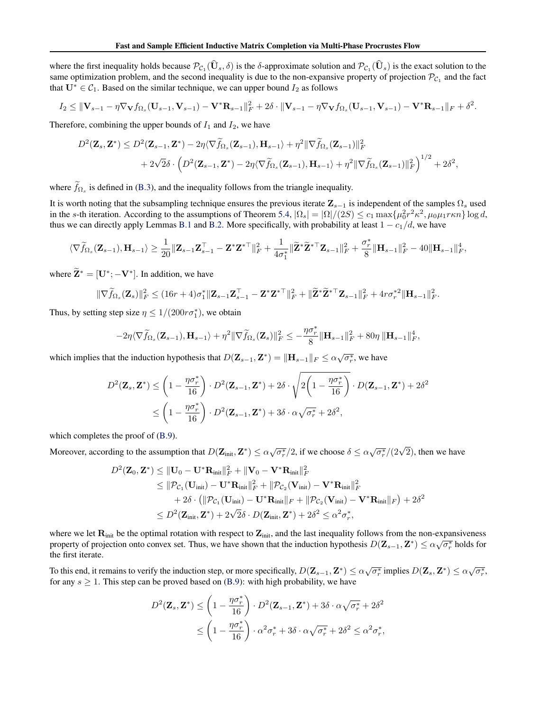where the first inequality holds because  $\mathcal{P}_{\mathcal{C}_1}(\mathbf{U}_s, \delta)$  is the  $\delta$ -approximate solution and  $\mathcal{P}_{\mathcal{C}_1}(\mathbf{U}_s)$  is the exact solution to the same optimization problem, and the second inequality is due to the non-expansive property of projection  $\mathcal{P}_{C_1}$  and the fact that  $U^* \in C_1$ . Based on the similar technique, we can upper bound  $I_2$  as follows

$$
I_2 \leq ||\mathbf{V}_{s-1} - \eta \nabla_{\mathbf{V}} f_{\Omega_s}(\mathbf{U}_{s-1}, \mathbf{V}_{s-1}) - \mathbf{V}^* \mathbf{R}_{s-1}||_F^2 + 2\delta \cdot ||\mathbf{V}_{s-1} - \eta \nabla_{\mathbf{V}} f_{\Omega_s}(\mathbf{U}_{s-1}, \mathbf{V}_{s-1}) - \mathbf{V}^* \mathbf{R}_{s-1}||_F + \delta^2.
$$

Therefore, combining the upper bounds of  $I_1$  and  $I_2$ , we have

$$
D^{2}(\mathbf{Z}_{s},\mathbf{Z}^{*}) \leq D^{2}(\mathbf{Z}_{s-1},\mathbf{Z}^{*}) - 2\eta \langle \nabla \widetilde{f}_{\Omega_{s}}(\mathbf{Z}_{s-1}),\mathbf{H}_{s-1} \rangle + \eta^{2} \|\nabla \widetilde{f}_{\Omega_{s}}(\mathbf{Z}_{s-1})\|_{F}^{2} + 2\sqrt{2}\delta \cdot \left( D^{2}(\mathbf{Z}_{s-1},\mathbf{Z}^{*}) - 2\eta \langle \nabla \widetilde{f}_{\Omega_{s}}(\mathbf{Z}_{s-1}),\mathbf{H}_{s-1} \rangle + \eta^{2} \|\nabla \widetilde{f}_{\Omega_{s}}(\mathbf{Z}_{s-1})\|_{F}^{2} \right)^{1/2} + 2\delta^{2},
$$

where  $f_{\Omega_s}$  is defined in (B.3), and the inequality follows from the triangle inequality.

It is worth noting that the subsampling technique ensures the previous iterate  $\mathbf{Z}_{s-1}$  is independent of the samples  $\Omega_s$  used in the s-th iteration. According to the assumptions of Theorem 5.4,  $|\Omega_s| = |\Omega|/(2S) \le c_1 \max{\{\mu_0^2 r^2 \kappa^2, \mu_0 \mu_1 r \kappa n\}} \log d$ , thus we can directly apply Lemmas B.1 and B.2. More specifically, with probability at least  $1 - c_1/d$ , we have

$$
\langle \nabla \widetilde{f}_{\Omega_s}(\mathbf{Z}_{s-1}), \mathbf{H}_{s-1} \rangle \geq \frac{1}{20} \|\mathbf{Z}_{s-1}\mathbf{Z}_{s-1}^{\top} - \mathbf{Z}^* \mathbf{Z}^{*\top}\|_F^2 + \frac{1}{4\sigma_1^*} \|\widetilde{\mathbf{Z}}^* \widetilde{\mathbf{Z}}^{*\top} \mathbf{Z}_{s-1}\|_F^2 + \frac{\sigma_r^*}{8} \|\mathbf{H}_{s-1}\|_F^2 - 40 \|\mathbf{H}_{s-1}\|_F^4,
$$

where  $\widetilde{\mathbf{Z}}^* = [\mathbf{U}^*; -\mathbf{V}^*]$ . In addition, we have

$$
\|\nabla \widetilde{f}_{\Omega_s}(\mathbf{Z}_s)\|_F^2 \leq (16r+4)\sigma_1^* \|\mathbf{Z}_{s-1}\mathbf{Z}_{s-1}^\top - \mathbf{Z}^*\mathbf{Z}^{*\top}\|_F^2 + \|\widetilde{\mathbf{Z}}^*\widetilde{\mathbf{Z}}^{*\top}\mathbf{Z}_{s-1}\|_F^2 + 4r\sigma_r^{*2} \|\mathbf{H}_{s-1}\|_F^2.
$$

Thus, by setting step size  $\eta \leq 1/(200r\sigma_1^*)$ , we obtain

$$
-2\eta\langle\nabla\widetilde{f}_{\Omega_{s}}(\mathbf{Z}_{s-1}),\mathbf{H}_{s-1}\rangle+\eta^{2}\|\nabla\widetilde{f}_{\Omega_{s}}(\mathbf{Z}_{s})\|_{F}^{2}\leq-\frac{\eta\sigma_{r}^{*}}{8}\|\mathbf{H}_{s-1}\|_{F}^{2}+80\eta\|\mathbf{H}_{s-1}\|_{F}^{4},
$$

which implies that the induction hypothesis that  $D(\mathbf{Z}_{s-1}, \mathbf{Z}^*) = \|\mathbf{H}_{s-1}\|_F \leq \alpha \sqrt{\sigma_r^*}$ , we have

$$
D^{2}(\mathbf{Z}_{s}, \mathbf{Z}^{*}) \leq \left(1 - \frac{\eta \sigma_{r}^{*}}{16}\right) \cdot D^{2}(\mathbf{Z}_{s-1}, \mathbf{Z}^{*}) + 2\delta \cdot \sqrt{2\left(1 - \frac{\eta \sigma_{r}^{*}}{16}\right)} \cdot D(\mathbf{Z}_{s-1}, \mathbf{Z}^{*}) + 2\delta^{2}
$$
  

$$
\leq \left(1 - \frac{\eta \sigma_{r}^{*}}{16}\right) \cdot D^{2}(\mathbf{Z}_{s-1}, \mathbf{Z}^{*}) + 3\delta \cdot \alpha \sqrt{\sigma_{r}^{*}} + 2\delta^{2},
$$

which completes the proof of  $(B.9)$ .

Moreover, according to the assumption that  $D(\mathbf{Z}_{init}, \mathbf{Z}^*) \leq \alpha \sqrt{\sigma_r^*}/2$ , if we choose  $\delta \leq \alpha \sqrt{\sigma_r^*}/(2\sqrt{2})$ , then we have

$$
D^{2}(\mathbf{Z}_{0}, \mathbf{Z}^{*}) \leq \|\mathbf{U}_{0} - \mathbf{U}^{*}\mathbf{R}_{\text{init}}\|_{F}^{2} + \|\mathbf{V}_{0} - \mathbf{V}^{*}\mathbf{R}_{\text{init}}\|_{F}^{2}
$$
  
\n
$$
\leq \|\mathcal{P}_{\mathcal{C}_{1}}(\mathbf{U}_{\text{init}}) - \mathbf{U}^{*}\mathbf{R}_{\text{init}}\|_{F}^{2} + \|\mathcal{P}_{\mathcal{C}_{2}}(\mathbf{V}_{\text{init}}) - \mathbf{V}^{*}\mathbf{R}_{\text{init}}\|_{F}^{2}
$$
  
\n
$$
+ 2\delta \cdot (\|\mathcal{P}_{\mathcal{C}_{1}}(\mathbf{U}_{\text{init}}) - \mathbf{U}^{*}\mathbf{R}_{\text{init}}\|_{F} + \|\mathcal{P}_{\mathcal{C}_{2}}(\mathbf{V}_{\text{init}}) - \mathbf{V}^{*}\mathbf{R}_{\text{init}}\|_{F}) + 2\delta^{2}
$$
  
\n
$$
\leq D^{2}(\mathbf{Z}_{\text{init}}, \mathbf{Z}^{*}) + 2\sqrt{2}\delta \cdot D(\mathbf{Z}_{\text{init}}, \mathbf{Z}^{*}) + 2\delta^{2} \leq \alpha^{2} \sigma_{r}^{*},
$$

where we let  $\mathbf{R}_{init}$  be the optimal rotation with respect to  $\mathbf{Z}_{init}$ , and the last inequality follows from the non-expansiveness property of projection onto convex set. Thus, we have shown that the induction hypothesis  $D(\mathbf{Z}_{s-1}, \mathbf{Z}^*) \leq \alpha \sqrt{\sigma_r^*}$  holds for the first iterate.

To this end, it remains to verify the induction step, or more specifically,  $D(\mathbf{Z}_{s-1}, \mathbf{Z}^*) \leq \alpha \sqrt{\sigma_r^*}$  implies  $D(\mathbf{Z}_s, \mathbf{Z}^*) \leq \alpha \sqrt{\sigma_r^*}$ , for any  $s \geq 1$ . This step can be proved based on (B.9): with high probability, we have

$$
D^{2}(\mathbf{Z}_{s}, \mathbf{Z}^{*}) \leq \left(1 - \frac{\eta \sigma_{r}^{*}}{16}\right) \cdot D^{2}(\mathbf{Z}_{s-1}, \mathbf{Z}^{*}) + 3\delta \cdot \alpha \sqrt{\sigma_{r}^{*}} + 2\delta^{2}
$$
  

$$
\leq \left(1 - \frac{\eta \sigma_{r}^{*}}{16}\right) \cdot \alpha^{2} \sigma_{r}^{*} + 3\delta \cdot \alpha \sqrt{\sigma_{r}^{*}} + 2\delta^{2} \leq \alpha^{2} \sigma_{r}^{*},
$$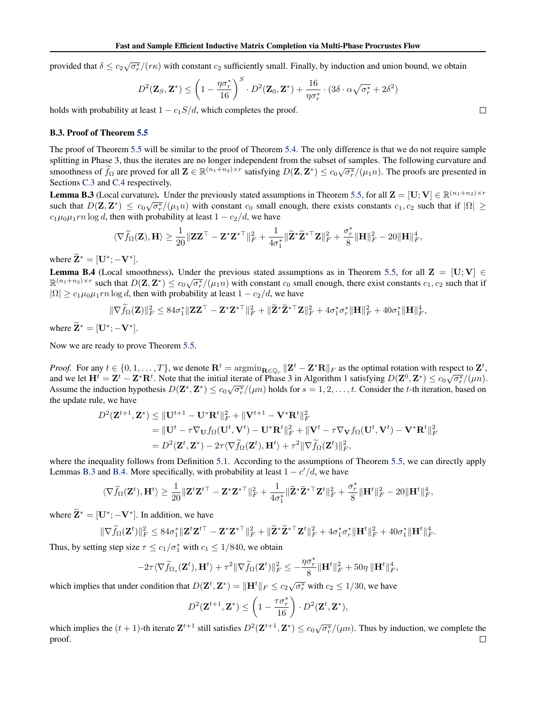provided that  $\delta \leq c_2 \sqrt{\sigma_r^*}/(r\kappa)$  with constant  $c_2$  sufficiently small. Finally, by induction and union bound, we obtain

$$
D^2(\mathbf{Z}_S, \mathbf{Z}^*) \le \left(1 - \frac{\eta \sigma_r^*}{16}\right)^S \cdot D^2(\mathbf{Z}_0, \mathbf{Z}^*) + \frac{16}{\eta \sigma_r^*} \cdot (3\delta \cdot \alpha \sqrt{\sigma_r^*} + 2\delta^2)
$$

holds with probability at least  $1 - c_1 S/d$ , which completes the proof.

### B.3. Proof of Theorem 5.5

The proof of Theorem 5.5 will be similar to the proof of Theorem 5.4. The only difference is that we do not require sample splitting in Phase 3, thus the iterates are no longer independent from the subset of samples. The following curvature and sphering in t has 5, this the relates are no longer independent from the sabset of samples. The following ear value and smoothness of  $\tilde{f}_{\Omega}$  are proved for all  $\mathbf{Z} \in \mathbb{R}^{(n_1+n_2) \times r}$  satisfying  $D(\mathbf{Z}, \mathbf{Z}^$ Sections C.3 and C.4 respectively.

**Lemma B.3** (Local curvature). Under the previously stated assumptions in Theorem 5.5, for all  $\mathbf{Z} = [\mathbf{U}; \mathbf{V}] \in \mathbb{R}^{(n_1+n_2)\times r}$ such that  $D(\mathbf{Z}, \mathbf{Z}^*) \leq c_0 \sqrt{\sigma_r^*}/(\mu_1 n)$  with constant  $c_0$  small enough, there exists constants  $c_1, c_2$  such that if  $|\Omega| \geq$  $c_1\mu_0\mu_1rn \log d$ , then with probability at least  $1 - c_2/d$ , we have

$$
\langle\nabla\widetilde{f}_{\Omega}(\mathbf{Z}),\mathbf{H}\rangle\geq\frac{1}{20}\|\mathbf{Z}\mathbf{Z}^{\top}-\mathbf{Z}^*\mathbf{Z}^{*\top}\|_F^2+\frac{1}{4\sigma_1^*}\|\widetilde{\mathbf{Z}}^*\widetilde{\mathbf{Z}}^{*\top}\mathbf{Z}\|_F^2+\frac{\sigma_r^*}{8}\|\mathbf{H}\|_F^2-20\|\mathbf{H}\|_F^4,
$$

where  $\widetilde{\mathbf{Z}}^* = [\mathbf{U}^*; -\mathbf{V}^*].$ 

**Lemma B.4** (Local smoothness). Under the previous stated assumptions as in Theorem 5.5, for all  $\mathbf{Z} = [\mathbf{U}; \mathbf{V}] \in$ **EXECUTE:**  $\mathbb{R}^{(n_1+n_2)\times r}$  such that  $D(\mathbf{Z}, \mathbf{Z}^*) \leq c_0 \sqrt{\sigma_r^2}/(\mu_1 n)$  with constant  $c_0$  small enough, there exist constants  $c_1, c_2$  such that if  $|\Omega| \ge c_1 \mu_0 \mu_1 r n \log d$ , then with probability at least  $1 - c_2/d$ , we have

$$
\|\nabla \widetilde{f}_{\Omega}(\mathbf{Z})\|_{F}^{2} \leq 84\sigma_1^* \|\mathbf{Z}\mathbf{Z}^{\top} - \mathbf{Z}^*\mathbf{Z}^{*\top}\|_{F}^{2} + \|\widetilde{\mathbf{Z}}^*\widetilde{\mathbf{Z}}^{*\top}\mathbf{Z}\|_{F}^{2} + 4\sigma_1^*\sigma_r^* \|\mathbf{H}\|_{F}^{2} + 40\sigma_1^* \|\mathbf{H}\|_{F}^{4},
$$

where  $\widetilde{\mathbf{Z}}^* = [\mathbf{U}^*; -\mathbf{V}^*].$ 

Now we are ready to prove Theorem 5.5.

*Proof.* For any  $t \in \{0, 1, ..., T\}$ , we denote  $\mathbf{R}^t = \arg\min_{\mathbf{R} \in \mathbb{Q}_r} ||\mathbf{Z}^t - \mathbf{Z}^* \mathbf{R}||_F$  as the optimal rotation with respect to  $\mathbf{Z}^t$ , and we let  $\mathbf{H}^t = \mathbf{Z}^t - \mathbf{Z}^* \mathbf{R}^t$ . Note that the initial iterate of Phase 3 in Algorithm 1 satisfying  $D(\mathbf{Z}^0, \mathbf{Z}^*) \leq c_0 \sqrt{\sigma_r^*}/(\mu n)$ . Assume the induction hypothesis  $D(\mathbf{Z}^s, \mathbf{Z}^*) \leq c_0 \sqrt{\sigma_r^*}/(\mu n)$  holds for  $s = 1, 2, \ldots, t$ . Consider the t-th iteration, based on the update rule, we have

$$
D^{2}(\mathbf{Z}^{t+1}, \mathbf{Z}^{*}) \leq \|\mathbf{U}^{t+1} - \mathbf{U}^{*}\mathbf{R}^{t}\|_{F}^{2} + \|\mathbf{V}^{t+1} - \mathbf{V}^{*}\mathbf{R}^{t}\|_{F}^{2}
$$
  
\n
$$
= \|\mathbf{U}^{t} - \tau \nabla_{\mathbf{U}} f_{\Omega}(\mathbf{U}^{t}, \mathbf{V}^{t}) - \mathbf{U}^{*}\mathbf{R}^{t}\|_{F}^{2} + \|\mathbf{V}^{t} - \tau \nabla_{\mathbf{V}} f_{\Omega}(\mathbf{U}^{t}, \mathbf{V}^{t}) - \mathbf{V}^{*}\mathbf{R}^{t}\|_{F}^{2}
$$
  
\n
$$
= D^{2}(\mathbf{Z}^{t}, \mathbf{Z}^{*}) - 2\tau \langle \nabla \widetilde{f}_{\Omega}(\mathbf{Z}^{t}), \mathbf{H}^{t}\rangle + \tau^{2} \|\nabla \widetilde{f}_{\Omega}(\mathbf{Z}^{t})\|_{F}^{2},
$$

where the inequality follows from Definition 5.1. According to the assumptions of Theorem 5.5, we can directly apply Lemmas B.3 and B.4. More specifically, with probability at least  $1 - c'/d$ , we have

$$
\langle \nabla \widetilde{f}_{\Omega}(\mathbf{Z}^t), \mathbf{H}^t \rangle \geq \frac{1}{20} \|\mathbf{Z}^t \mathbf{Z}^{t\top} - \mathbf{Z}^* \mathbf{Z}^{*\top}\|_F^2 + \frac{1}{4\sigma_1^*} \|\widetilde{\mathbf{Z}}^* \widetilde{\mathbf{Z}}^{*\top} \mathbf{Z}^t\|_F^2 + \frac{\sigma_r^*}{8} \|\mathbf{H}^t\|_F^2 - 20 \|\mathbf{H}^t\|_F^4,
$$

where  $\widetilde{\mathbf{Z}}^* = [\mathbf{U}^*; -\mathbf{V}^*]$ . In addition, we have

$$
\|\nabla \widetilde{f}_{\Omega}(\mathbf{Z}^t)\|_F^2 \leq 84\sigma_1^* \|\mathbf{Z}^t \mathbf{Z}^{t\top} - \mathbf{Z}^* \mathbf{Z}^{*\top}\|_F^2 + \|\widetilde{\mathbf{Z}}^* \widetilde{\mathbf{Z}}^{*\top} \mathbf{Z}^t\|_F^2 + 4\sigma_1^* \sigma_r^* \|\mathbf{H}^t\|_F^2 + 40\sigma_1^* \|\mathbf{H}^t\|_F^4.
$$

Thus, by setting step size  $\tau \leq c_1/\sigma_1^*$  with  $c_1 \leq 1/840$ , we obtain

$$
- 2 \tau \langle \nabla \widetilde{f}_{\Omega_s}(\mathbf{Z}^t), \mathbf{H}^t \rangle + \tau^2 \|\nabla \widetilde{f}_{\Omega}(\mathbf{Z}^t)\|_F^2 \leq - \frac{\eta \sigma^*_r}{8} \|\mathbf{H}^t\|_F^2 + 50 \eta \|\mathbf{H}^t\|_F^4,
$$

which implies that under condition that  $D(\mathbf{Z}^t, \mathbf{Z}^*) = \|\mathbf{H}^t\|_F \leq c_2 \sqrt{\sigma_r^*}$  with  $c_2 \leq 1/30$ , we have

$$
D^2(\mathbf{Z}^{t+1}, \mathbf{Z}^*) \leq \left(1 - \frac{\tau \sigma_r^*}{16}\right) \cdot D^2(\mathbf{Z}^t, \mathbf{Z}^*),
$$

which implies the  $(t + 1)$ -th iterate  $\mathbf{Z}^{t+1}$  still satisfies  $D^2(\mathbf{Z}^{t+1}, \mathbf{Z}^*) \le c_0 \sqrt{\sigma_r^*}/(\mu n)$ . Thus by induction, we complete the proof. $\Box$ 

 $\Box$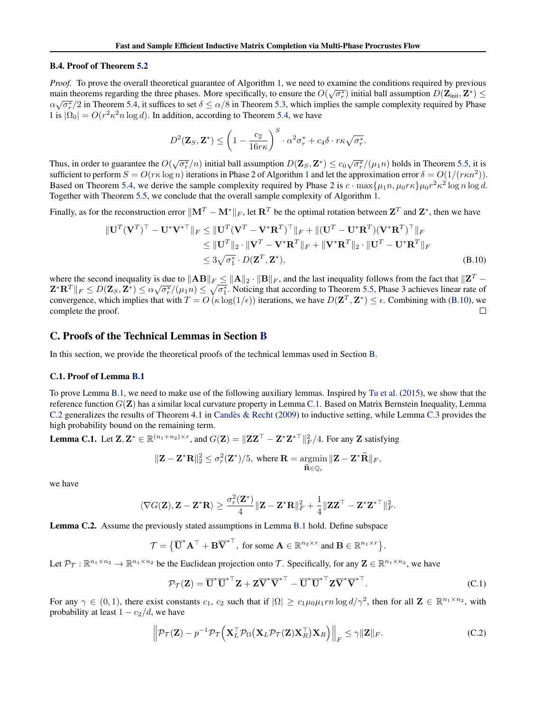### B.4. Proof of Theorem 5.2

*Proof.* To prove the overall theoretical guarantee of Algorithm 1, we need to examine the conditions required by previous main theorems regarding the three phases. More specifically, to ensure the  $O(\sqrt{\sigma_r^*})$  initial ball assumption  $D(\mathbf{Z}_{\text{init}}, \mathbf{Z}^*) \leq \sqrt{2}$  $\alpha\sqrt{\sigma_r^*}/2$  in Theorem 5.4, it suffices to set  $\delta \le \alpha/8$  in Theorem 5.3, which implies the sample complexity required by Phase 1 is  $|\Omega_0| = O(r^2 \kappa^2 n \log d)$ . In addition, according to Theorem 5.4, we have

$$
D^2(\mathbf{Z}_S, \mathbf{Z}^*) \le \left(1 - \frac{c_2}{16r\kappa}\right)^S \cdot \alpha^2 \sigma_r^* + c_4 \delta \cdot r\kappa \sqrt{\sigma_r^*}.
$$

Thus, in order to guarantee the  $O(\sqrt{\sigma_r^*}/n)$  initial ball assumption  $D(\mathbf{Z}_S, \mathbf{Z}^*) \leq c_0 \sqrt{\sigma_r^*}/(\mu_1 n)$  holds in Theorem 5.5, it is sufficient to perform  $S = O(r\kappa \log n)$  iterations in Phase 2 of Algorithm 1 and let the approximation error  $\delta = O(1/(r\kappa n^2))$ . Based on Theorem 5.4, we derive the sample complexity required by Phase 2 is  $c \cdot \max\{\mu_1 n, \mu_0 r \kappa\} \mu_0 r^2 \kappa^2 \log n \log d$ . Together with Theorem 5.5, we conclude that the overall sample complexity of Algorithm 1.

Finally, as for the reconstruction error  $\|\mathbf{M}^T - \mathbf{M}^*\|_F$ , let  $\mathbf{R}^T$  be the optimal rotation between  $\mathbf{Z}^T$  and  $\mathbf{Z}^*$ , then we have

$$
\|\mathbf{U}^T(\mathbf{V}^T)^{\top} - \mathbf{U}^*\mathbf{V}^{*\top}\|_F \le \|\mathbf{U}^T(\mathbf{V}^T - \mathbf{V}^*\mathbf{R}^T)^{\top}\|_F + \|(\mathbf{U}^T - \mathbf{U}^*\mathbf{R}^T)(\mathbf{V}^*\mathbf{R}^T)^{\top}\|_F
$$
  
\n
$$
\le \|\mathbf{U}^T\|_2 \cdot \|\mathbf{V}^T - \mathbf{V}^*\mathbf{R}^T\|_F + \|\mathbf{V}^*\mathbf{R}^T\|_2 \cdot \|\mathbf{U}^T - \mathbf{U}^*\mathbf{R}^T\|_F
$$
  
\n
$$
\le 3\sqrt{\sigma_1^*} \cdot D(\mathbf{Z}^T, \mathbf{Z}^*),
$$
\n(B.10)

where the second inequality is due to  $\|\mathbf{AB}\|_F \le \|\mathbf{A}\|_2 \cdot \|\mathbf{B}\|_F$ , and the last inequality follows from the fact that  $\|\mathbf{Z}^T - \mathbf{Z}\|_F$ where the second mequality is due to  $||AB||_F \le ||A||_2 \cdot ||B||_F$ , and the fast mequality follows from the fact that  $||B||_2$  =  $\mathbf{Z}^* \mathbf{R}^T ||_F \leq D(\mathbf{Z}_S, \mathbf{Z}^*) \leq \alpha \sqrt{\sigma_r^2}/(\mu_1 n) \leq \sqrt{\sigma_1^*}$ . Noticing that according to convergence, which implies that with  $T = O(\kappa \log(1/\epsilon))$  iterations, we have  $D(\mathbf{Z}^T, \mathbf{Z}^*) \leq \epsilon$ . Combining with (B.10), we complete the proof.  $\Box$ 

## C. Proofs of the Technical Lemmas in Section B

In this section, we provide the theoretical proofs of the technical lemmas used in Section B.

### C.1. Proof of Lemma B.1

To prove Lemma B.1, we need to make use of the following auxiliary lemmas. Inspired by Tu et al. (2015), we show that the reference function  $G(\mathbf{Z})$  has a similar local curvature property in Lemma C.1. Based on Matrix Bernstein Inequality, Lemma C.2 generalizes the results of Theorem 4.1 in Candès & Recht  $(2009)$  to inductive setting, while Lemma C.3 provides the high probability bound on the remaining term.

**Lemma C.1.** Let  $\mathbf{Z}, \mathbf{Z}^* \in \mathbb{R}^{(n_1+n_2)\times r}$ , and  $G(\mathbf{Z}) = ||\mathbf{Z}\mathbf{Z}^{\top} - \mathbf{Z}^* \mathbf{Z}^{*\top}||_F^2/4$ . For any  $\mathbf{Z}$  satisfying

$$
\|\mathbf{Z} - \mathbf{Z}^*\mathbf{R}\|_2^2 \le \sigma_r^2(\mathbf{Z}^*)/5, \text{ where } \mathbf{R} = \operatorname*{argmin}_{\widetilde{\mathbf{R}} \in \mathbb{Q}_r} \|\mathbf{Z} - \mathbf{Z}^*\widetilde{\mathbf{R}}\|_F,
$$

we have

$$
\langle \nabla G(\mathbf{Z}), \mathbf{Z}-\mathbf{Z}^*\mathbf{R} \rangle \geq \frac{\sigma_r^2(\mathbf{Z}^*)}{4} \|\mathbf{Z}-\mathbf{Z}^*\mathbf{R}\|_F^2 + \frac{1}{4}\|\mathbf{Z}\mathbf{Z}^\top - \mathbf{Z}^*\mathbf{Z}^{*\top}\|_F^2.
$$

Lemma C.2. Assume the previously stated assumptions in Lemma B.1 hold. Define subspace

$$
\mathcal{T} = \{\overline{\mathbf{U}}^* \mathbf{A}^\top + \mathbf{B} \overline{\mathbf{V}}^{*\top}, \text{ for some } \mathbf{A} \in \mathbb{R}^{n_2 \times r} \text{ and } \mathbf{B} \in \mathbb{R}^{n_1 \times r} \}.
$$

Let  $\mathcal{P}_{\mathcal{T}} : \mathbb{R}^{n_1 \times n_2} \to \mathbb{R}^{n_1 \times n_2}$  be the Euclidean projection onto T. Specifically, for any  $\mathbf{Z} \in \mathbb{R}^{n_1 \times n_2}$ , we have

$$
\mathcal{P}_{\mathcal{T}}(\mathbf{Z}) = \overline{\mathbf{U}}^* \overline{\mathbf{U}}^{* \top} \mathbf{Z} + \mathbf{Z} \overline{\mathbf{V}}^* \overline{\mathbf{V}}^{* \top} - \overline{\mathbf{U}}^* \overline{\mathbf{U}}^{* \top} \mathbf{Z} \overline{\mathbf{V}}^* \overline{\mathbf{V}}^{* \top}.
$$
 (C.1)

For any  $\gamma \in (0,1)$ , there exist constants  $c_1$ ,  $c_2$  such that if  $|\Omega| \ge c_1 \mu_0 \mu_1 r n \log d/\gamma^2$ , then for all  $\mathbf{Z} \in \mathbb{R}^{n_1 \times n_2}$ , with probability at least  $1 - c_2/d$ , we have

$$
\left\| \mathcal{P}_{\mathcal{T}}(\mathbf{Z}) - p^{-1} \mathcal{P}_{\mathcal{T}}\left(\mathbf{X}_{L}^{\top} \mathcal{P}_{\Omega}\left(\mathbf{X}_{L} \mathcal{P}_{\mathcal{T}}(\mathbf{Z}) \mathbf{X}_{R}^{\top}\right) \mathbf{X}_{R}\right) \right\|_{F} \leq \gamma \|\mathbf{Z}\|_{F}.
$$
 (C.2)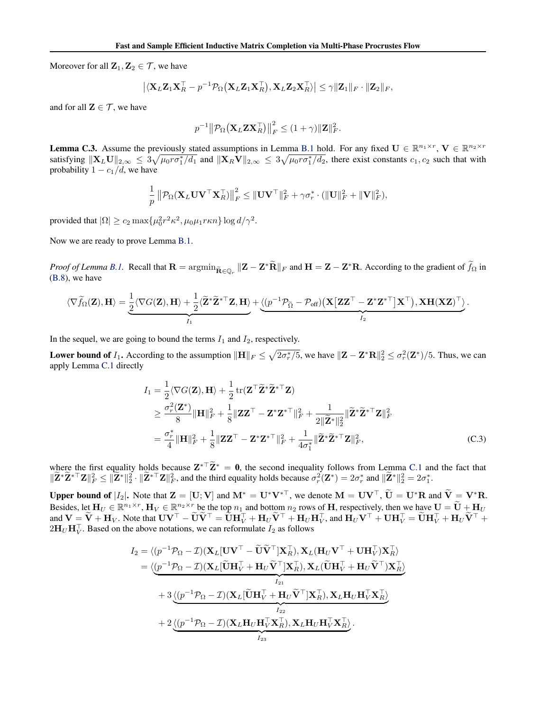Moreover for all  $\mathbf{Z}_1, \mathbf{Z}_2 \in \mathcal{T}$ , we have

$$
|\langle \mathbf{X}_L \mathbf{Z}_1 \mathbf{X}_R^\top - p^{-1} \mathcal{P}_{\Omega} (\mathbf{X}_L \mathbf{Z}_1 \mathbf{X}_R^\top), \mathbf{X}_L \mathbf{Z}_2 \mathbf{X}_R^\top \rangle| \leq \gamma \|\mathbf{Z}_1\|_F \cdot \|\mathbf{Z}_2\|_F,
$$

and for all  $\mathbf{Z} \in \mathcal{T}$ , we have

$$
p^{-1} \|\mathcal{P}_{\Omega}(\mathbf{X}_L \mathbf{Z} \mathbf{X}_R^\top)\|_F^2 \leq (1+\gamma) \|\mathbf{Z}\|_F^2.
$$

**Lemma C.3.** Assume the previously stated assumptions in Lemma B.1 hold. For any fixed  $\mathbf{U} \in \mathbb{R}^{n_1 \times r}$ ,  $\mathbf{V} \in \mathbb{R}^{n_2 \times r}$ satisfying  $||\mathbf{X}_L \mathbf{U}||_{2,\infty} \leq 3\sqrt{\mu_0 r \sigma_1^*/d_1}$  and  $||\mathbf{X}_R \mathbf{V}||_{2,\infty} \leq 3\sqrt{\mu_0 r \sigma_1^*/d_2}$ , there exist constants  $c_1, c_2$  such that with probability  $1 - c_1/d$ , we have

$$
\frac{1}{p} \left\| \mathcal{P}_{\Omega} (\mathbf{X}_L \mathbf{U} \mathbf{V}^\top \mathbf{X}_R^\top) \right\|_F^2 \leq \| \mathbf{U} \mathbf{V}^\top \|_F^2 + \gamma \sigma_r^* \cdot (\|\mathbf{U}\|_F^2 + \|\mathbf{V}\|_F^2),
$$

provided that  $|\Omega| \ge c_2 \max{\{\mu_0^2 r^2 \kappa^2, \mu_0 \mu_1 r \kappa n\}} \log d/\gamma^2$ .

Now we are ready to prove Lemma B.1.

*Proof of Lemma B.1.* Recall that  $\mathbf{R} = \arg\min_{\tilde{\mathbf{R}} \in \mathbb{Q}_r} \| \mathbf{Z} - \mathbf{Z}^* \tilde{\mathbf{R}} \|_F$  and  $\mathbf{H} = \mathbf{Z} - \mathbf{Z}^* \mathbf{R}$ . According to the gradient of  $\tilde{f}_{\Omega}$  in (B.8), we have

$$
\langle\nabla\widetilde{f}_{\Omega}(\mathbf{Z}),\mathbf{H}\rangle=\underbrace{\frac{1}{2}\langle\nabla G(\mathbf{Z}),\mathbf{H}\rangle+\frac{1}{2}\langle\widetilde{\mathbf{Z}}^*\widetilde{\mathbf{Z}}^{*\top}\mathbf{Z},\mathbf{H}\rangle}_{I_1}+\underbrace{\langle(p^{-1}\mathcal{P}_{\widetilde{\Omega}}-\mathcal{P}_{\mathrm{off}})\big(\mathbf{X}\big[\mathbf{Z}\mathbf{Z}^\top-\mathbf{Z}^*\mathbf{Z}^{*\top}\big]\mathbf{X}^\top\big),\mathbf{X}\mathbf{H}(\mathbf{X}\mathbf{Z})^\top\big)}_{I_2}.
$$

In the sequel, we are going to bound the terms  $I_1$  and  $I_2$ , respectively.

Lower bound of  $I_1$ . According to the assumption  $\|\mathbf{H}\|_F \leq \sqrt{2\sigma_r^*/5}$ , we have  $\|\mathbf{Z} - \mathbf{Z}^*\mathbf{R}\|_2^2 \leq \sigma_r^2(\mathbf{Z}^*)/5$ . Thus, we can apply Lemma C.1 directly

$$
I_1 = \frac{1}{2} \langle \nabla G(\mathbf{Z}), \mathbf{H} \rangle + \frac{1}{2} \operatorname{tr}(\mathbf{Z}^\top \tilde{\mathbf{Z}}^* \tilde{\mathbf{Z}}^{*\top} \mathbf{Z})
$$
  
\n
$$
\geq \frac{\sigma_r^2(\mathbf{Z}^*)}{8} \|\mathbf{H}\|_F^2 + \frac{1}{8} \|\mathbf{Z}\mathbf{Z}^\top - \mathbf{Z}^* \mathbf{Z}^{*\top}\|_F^2 + \frac{1}{2\|\tilde{\mathbf{Z}}^*\|_2^2} \|\tilde{\mathbf{Z}}^* \tilde{\mathbf{Z}}^{*\top} \mathbf{Z}\|_F^2
$$
  
\n
$$
= \frac{\sigma_r^*}{4} \|\mathbf{H}\|_F^2 + \frac{1}{8} \|\mathbf{Z}\mathbf{Z}^\top - \mathbf{Z}^* \mathbf{Z}^{*\top}\|_F^2 + \frac{1}{4\sigma_1^*} \|\tilde{\mathbf{Z}}^* \tilde{\mathbf{Z}}^{*\top} \mathbf{Z}\|_F^2, \tag{C.3}
$$

where the first equality holds because  $\mathbf{Z}^*$   $\tilde{\mathbf{Z}}^* = \mathbf{0}$ , the second inequality follows from Lemma C.1 and the fact that  $\|\widetilde{\mathbf{Z}}^*\widetilde{\mathbf{Z}}^*\mathbf{Z}\|^2_F \le \|\widetilde{\mathbf{Z}}^*\|^2_2 \cdot \|\widetilde{\mathbf{Z}}^*\mathbf{Z}\|^2_F$ , and the third equality holds because  $\sigma_r^2(\mathbf{Z}^*) = 2\sigma_r^*$  and  $\|\widetilde{\mathbf{Z}}^*\|^2_2 = 2\sigma_1^*$ .

Upper bound of  $|I_2|$ . Note that  $\mathbf{Z} = [\mathbf{U}; \mathbf{V}]$  and  $\mathbf{M}^* = \mathbf{U}^* \mathbf{V}^{*\top}$ , we denote  $\mathbf{M} = \mathbf{U} \mathbf{V}^\top$ ,  $\widetilde{\mathbf{U}} = \mathbf{U}^* \mathbf{R}$  and  $\widetilde{\mathbf{V}} = \mathbf{V}^* \mathbf{R}$ . Besides, let  $H_U \in \mathbb{R}^{n_1 \times r}$ ,  $H_V \in \mathbb{R}^{n_2 \times r}$  be the top  $n_1$  and bottom  $n_2$  rows of H, respectively, then we have  $U = \widetilde{U} + H_U$ and  $\mathbf{V} = \tilde{\mathbf{V}} + \mathbf{H}_V$ . Note that  $\mathbf{U}\mathbf{V}^\top - \tilde{\mathbf{U}}\tilde{\mathbf{V}}^\top = \tilde{\mathbf{U}}\mathbf{H}_V^\top + \mathbf{H}_U\tilde{\mathbf{V}}^\top + \mathbf{H}_U\mathbf{H}_V^\top$ , and  $\mathbf{H}_U\mathbf{V}^\top + \mathbf{U}\mathbf{H}_V^\top = \tilde{\mathbf{U}}\mathbf{H}_V^\top + \mathbf{H}_U\tilde{\mathbf{V}}^\top + \mathbf{H}_U\tilde{\math$  $2\mathbf{H}_U\mathbf{H}_V^{\top}$ . Based on the above notations, we can reformulate  $I_2$  as follows

$$
I_2 = \langle (p^{-1}\mathcal{P}_{\Omega} - \mathcal{I})(\mathbf{X}_L[\mathbf{U}\mathbf{V}^\top - \widetilde{\mathbf{U}}\widetilde{\mathbf{V}}^\top] \mathbf{X}_R^\top), \mathbf{X}_L(\mathbf{H}_U \mathbf{V}^\top + \mathbf{U}\mathbf{H}_V^\top) \mathbf{X}_R^\top \rangle
$$
  
\n
$$
= \langle \underbrace{(p^{-1}\mathcal{P}_{\Omega} - \mathcal{I})(\mathbf{X}_L[\widetilde{\mathbf{U}}\mathbf{H}_V^\top + \mathbf{H}_U \widetilde{\mathbf{V}}^\top] \mathbf{X}_R^\top), \mathbf{X}_L(\widetilde{\mathbf{U}}\mathbf{H}_V^\top + \mathbf{H}_U \widetilde{\mathbf{V}}^\top) \mathbf{X}_R^\top \rangle}
$$
  
\n
$$
+ 3 \underbrace{\langle (p^{-1}\mathcal{P}_{\Omega} - \mathcal{I})(\mathbf{X}_L[\widetilde{\mathbf{U}}\mathbf{H}_V^\top + \mathbf{H}_U \widetilde{\mathbf{V}}^\top] \mathbf{X}_R^\top), \mathbf{X}_L \mathbf{H}_U \mathbf{H}_V^\top \mathbf{X}_R^\top \rangle}_{I_{22}}
$$
  
\n
$$
+ 2 \underbrace{\langle (p^{-1}\mathcal{P}_{\Omega} - \mathcal{I})(\mathbf{X}_L \mathbf{H}_U \mathbf{H}_V^\top \mathbf{X}_R^\top), \mathbf{X}_L \mathbf{H}_U \mathbf{H}_V^\top \mathbf{X}_R^\top \rangle}_{I_{23}}.
$$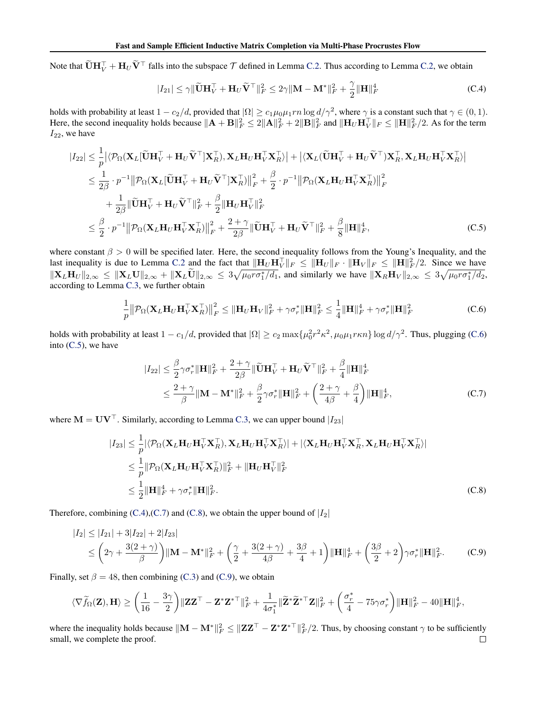Note that  $\widetilde{\mathbf{U}}\mathbf{H}_V^{\top} + \mathbf{H}_U\widetilde{\mathbf{V}}^{\top}$  falls into the subspace  $\mathcal T$  defined in Lemma C.2. Thus according to Lemma C.2, we obtain

$$
|I_{21}| \leq \gamma \|\widetilde{\mathbf{U}}\mathbf{H}_{V}^{\top} + \mathbf{H}_{U}\widetilde{\mathbf{V}}^{\top}\|_{F}^{2} \leq 2\gamma \| \mathbf{M} - \mathbf{M}^{*} \|_{F}^{2} + \frac{\gamma}{2} \|\mathbf{H}\|_{F}^{4}
$$
 (C.4)

holds with probability at least  $1 - c_2/d$ , provided that  $|\Omega| \ge c_1 \mu_0 \mu_1 r n \log d/\gamma^2$ , where  $\gamma$  is a constant such that  $\gamma \in (0, 1)$ . Here, the second inequality holds because  $\|\mathbf{A} + \mathbf{B}\|_F^2 \le 2\|\mathbf{A}\|_F^2 + 2\|\mathbf{B}\|_F^2$  and  $\|\mathbf{H}_U\mathbf{H}_V^\top\|_F \le \|\mathbf{H}\|_F^2/2$ . As for the term  $I_{22}$ , we have

$$
|I_{22}| \leq \frac{1}{p} |\langle \mathcal{P}_{\Omega}(\mathbf{X}_{L}[\widetilde{\mathbf{U}}\mathbf{H}_{V}^{\top} + \mathbf{H}_{U}\widetilde{\mathbf{V}}^{\top}]\mathbf{X}_{R}^{\top}), \mathbf{X}_{L}\mathbf{H}_{U}\mathbf{H}_{V}^{\top}\mathbf{X}_{R}^{\top}\rangle| + |\langle \mathbf{X}_{L}(\widetilde{\mathbf{U}}\mathbf{H}_{V}^{\top} + \mathbf{H}_{U}\widetilde{\mathbf{V}}^{\top})\mathbf{X}_{R}^{\top}, \mathbf{X}_{L}\mathbf{H}_{U}\mathbf{H}_{V}^{\top}\mathbf{X}_{R}^{\top}\rangle|
$$
  
\n
$$
\leq \frac{1}{2\beta} \cdot p^{-1} ||\mathcal{P}_{\Omega}(\mathbf{X}_{L}[\widetilde{\mathbf{U}}\mathbf{H}_{V}^{\top} + \mathbf{H}_{U}\widetilde{\mathbf{V}}^{\top}]\mathbf{X}_{R}^{\top})||_{F}^{2} + \frac{\beta}{2} \cdot p^{-1} ||\mathcal{P}_{\Omega}(\mathbf{X}_{L}\mathbf{H}_{U}\mathbf{H}_{V}^{\top}\mathbf{X}_{R}^{\top})||_{F}^{2}
$$
  
\n
$$
+ \frac{1}{2\beta} ||\widetilde{\mathbf{U}}\mathbf{H}_{V}^{\top} + \mathbf{H}_{U}\widetilde{\mathbf{V}}^{\top}||_{F}^{2} + \frac{\beta}{2} ||\mathbf{H}_{U}\mathbf{H}_{V}^{\top}||_{F}^{2}
$$
  
\n
$$
\leq \frac{\beta}{2} \cdot p^{-1} ||\mathcal{P}_{\Omega}(\mathbf{X}_{L}\mathbf{H}_{U}\mathbf{H}_{V}^{\top}\mathbf{X}_{R}^{\top})||_{F}^{2} + \frac{2 + \gamma}{2\beta} ||\widetilde{\mathbf{U}}\mathbf{H}_{V}^{\top} + \mathbf{H}_{U}\widetilde{\mathbf{V}}^{\top}||_{F}^{2} + \frac{\beta}{8} ||\mathbf{H}||_{F}^{4}, \qquad (C.5)
$$

where constant  $\beta > 0$  will be specified later. Here, the second inequality follows from the Young's Inequality, and the last inequality is due to Lemma C.2 and the fact that  $\|\mathbf{H}_U\mathbf{H}_V^\top\|_F \le \|\mathbf{H}_U\|_F \cdot \|\mathbf{H}_V\|_F \le \|\mathbf{H}\|_F^2/2$ . Since we have  $\|\mathbf{X}_L \mathbf{H}_U \|_{2,\infty} \leq \|\mathbf{X}_L \mathbf{U} \|_{2,\infty} + \|\mathbf{X}_L \tilde{\mathbf{U}} \|_{2,\infty} \leq 3 \sqrt{\mu_0 r \sigma_1^* / d_1}$ , and similarly we have  $\|\mathbf{X}_R \mathbf{H}_V \|_{2,\infty} \leq 3 \sqrt{\mu_0 r \sigma_1^* / d_2}$ , according to Lemma C.3, we further obtain

$$
\frac{1}{p} \left\| \mathcal{P}_{\Omega} (\mathbf{X}_L \mathbf{H}_U \mathbf{H}_V^\top \mathbf{X}_R^\top) \right\|_F^2 \le \left\| \mathbf{H}_U \mathbf{H}_V \right\|_F^2 + \gamma \sigma_r^* \|\mathbf{H}\|_F^2 \le \frac{1}{4} \|\mathbf{H}\|_F^4 + \gamma \sigma_r^* \|\mathbf{H}\|_F^2
$$
 (C.6)

holds with probability at least  $1 - c_1/d$ , provided that  $|\Omega| \ge c_2 \max\{\mu_0^2 r^2 \kappa^2, \mu_0 \mu_1 r \kappa n\} \log d/\gamma^2$ . Thus, plugging (C.6) into (C.5), we have

$$
|I_{22}| \leq \frac{\beta}{2} \gamma \sigma_r^* ||\mathbf{H}||_F^2 + \frac{2+\gamma}{2\beta} ||\widetilde{\mathbf{U}} \mathbf{H}_V^\top + \mathbf{H}_U \widetilde{\mathbf{V}}^\top ||_F^2 + \frac{\beta}{4} ||\mathbf{H}||_F^4
$$
  

$$
\leq \frac{2+\gamma}{\beta} ||\mathbf{M} - \mathbf{M}^*||_F^2 + \frac{\beta}{2} \gamma \sigma_r^* ||\mathbf{H}||_F^2 + \left(\frac{2+\gamma}{4\beta} + \frac{\beta}{4}\right) ||\mathbf{H}||_F^4,
$$
 (C.7)

where  $M = UV^{\top}$ . Similarly, according to Lemma C.3, we can upper bound  $|I_{23}|$ 

$$
|I_{23}| \leq \frac{1}{p} |\langle \mathcal{P}_{\Omega}(\mathbf{X}_{L}\mathbf{H}_{U}\mathbf{H}_{V}^{\top}\mathbf{X}_{R}^{\top}), \mathbf{X}_{L}\mathbf{H}_{U}\mathbf{H}_{V}^{\top}\mathbf{X}_{R}^{\top}\rangle| + |\langle \mathbf{X}_{L}\mathbf{H}_{U}\mathbf{H}_{V}^{\top}\mathbf{X}_{R}^{\top}, \mathbf{X}_{L}\mathbf{H}_{U}\mathbf{H}_{V}^{\top}\mathbf{X}_{R}^{\top}\rangle|
$$
  
\n
$$
\leq \frac{1}{p} ||\mathcal{P}_{\Omega}(\mathbf{X}_{L}\mathbf{H}_{U}\mathbf{H}_{V}^{\top}\mathbf{X}_{R}^{\top})||_{F}^{2} + ||\mathbf{H}_{U}\mathbf{H}_{V}^{\top}||_{F}^{2}
$$
  
\n
$$
\leq \frac{1}{2} ||\mathbf{H}||_{F}^{4} + \gamma \sigma_{r}^{*} ||\mathbf{H}||_{F}^{2}.
$$
 (C.8)

Therefore, combining (C.4), (C.7) and (C.8), we obtain the upper bound of  $|I_2|$ 

$$
|I_2| \le |I_{21}| + 3|I_{22}| + 2|I_{23}|
$$
  
\n
$$
\le \left(2\gamma + \frac{3(2+\gamma)}{\beta}\right) \|\mathbf{M} - \mathbf{M}^*\|_F^2 + \left(\frac{\gamma}{2} + \frac{3(2+\gamma)}{4\beta} + \frac{3\beta}{4} + 1\right) \|\mathbf{H}\|_F^4 + \left(\frac{3\beta}{2} + 2\right) \gamma \sigma_r^* \|\mathbf{H}\|_F^2.
$$
 (C.9)

Finally, set  $\beta = 48$ , then combining (C.3) and (C.9), we obtain

$$
\langle\nabla\widetilde{f}_\Omega(\mathbf{Z}),\mathbf{H}\rangle\geq\bigg(\frac{1}{16}-\frac{3\gamma}{2}\bigg)\|\mathbf{Z}\mathbf{Z}^\top-\mathbf{Z}^{\ast}\mathbf{Z}^{\ast\top}\|_F^2+\frac{1}{4\sigma_1^{\ast}}\|\widetilde{\mathbf{Z}}^{\ast}\widetilde{\mathbf{Z}}^{\ast\top}\mathbf{Z}\|_F^2+\bigg(\frac{\sigma_r^{\ast}}{4}-75\gamma\sigma_r^{\ast}\bigg)\|\mathbf{H}\|_F^2-40\|\mathbf{H}\|_F^4,
$$

where the inequality holds because  $\|\mathbf{M} - \mathbf{M}^*\|_F^2 \leq \|\mathbf{Z}\mathbf{Z}^\top - \mathbf{Z}^*\mathbf{Z}^{*\top}\|_F^2/2$ . Thus, by choosing constant  $\gamma$  to be sufficiently small, we complete the proof. $\Box$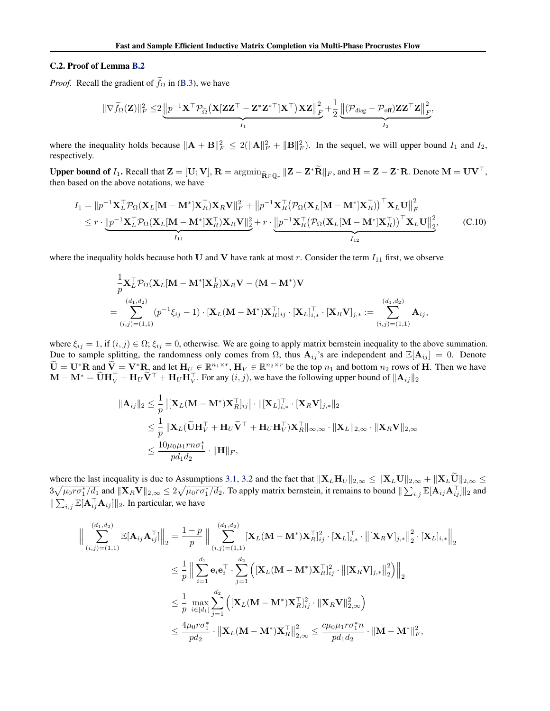### C.2. Proof of Lemma B.2

*Proof.* Recall the gradient of  $f_{\Omega}$  in (B.3), we have

$$
\|\nabla \widetilde{f}_{\Omega}(\mathbf{Z})\|_F^2 \leq 2 \underbrace{\left\|p^{-1} \mathbf{X}^\top \mathcal{P}_{\widetilde{\Omega}}\big(\mathbf{X}[\mathbf{Z}\mathbf{Z}^\top - \mathbf{Z}^* \mathbf{Z}^{*\top}]\mathbf{X}^\top\big) \mathbf{X} \mathbf{Z}\right\|_F^2}_{I_1} + \frac{1}{2}\underbrace{\left\|\left(\overline{\mathcal{P}}_{\text{diag}} - \overline{\mathcal{P}}_{\text{off}}\right)\mathbf{Z} \mathbf{Z}^\top \mathbf{Z}\right\|_F^2}_{I_2},
$$

where the inequality holds because  $\|\mathbf{A} + \mathbf{B}\|_F^2 \le 2(\|\mathbf{A}\|_F^2 + \|\mathbf{B}\|_F^2)$ . In the sequel, we will upper bound  $I_1$  and  $I_2$ , respectively.

Upper bound of  $I_1$ . Recall that  $\mathbf{Z} = [\mathbf{U}; \mathbf{V}], \mathbf{R} = \arg\min_{\tilde{\mathbf{R}} \in \mathbb{Q}_r} ||\mathbf{Z} - \mathbf{Z}^* \tilde{\mathbf{R}}||_F$ , and  $\mathbf{H} = \mathbf{Z} - \mathbf{Z}^* \mathbf{R}$ . Denote  $\mathbf{M} = \mathbf{U} \mathbf{V}^\top$ , then based on the above notations, we have

$$
I_1 = ||p^{-1}\mathbf{X}_L^{\top}\mathcal{P}_{\Omega}(\mathbf{X}_L[\mathbf{M}-\mathbf{M}^*]\mathbf{X}_R^{\top})\mathbf{X}_R\mathbf{V}||_F^2 + ||p^{-1}\mathbf{X}_R^{\top}(\mathcal{P}_{\Omega}(\mathbf{X}_L[\mathbf{M}-\mathbf{M}^*]\mathbf{X}_R^{\top}))^{\top}\mathbf{X}_L\mathbf{U}||_F^2
$$
  
\n
$$
\leq r \cdot \underbrace{||p^{-1}\mathbf{X}_L^{\top}\mathcal{P}_{\Omega}(\mathbf{X}_L[\mathbf{M}-\mathbf{M}^*]\mathbf{X}_R^{\top})\mathbf{X}_R\mathbf{V}||_2^2}_{I_{11}} + r \cdot \underbrace{||p^{-1}\mathbf{X}_R^{\top}(\mathcal{P}_{\Omega}(\mathbf{X}_L[\mathbf{M}-\mathbf{M}^*]\mathbf{X}_R^{\top}))^{\top}\mathbf{X}_L\mathbf{U}||_2^2}_{I_{12}},
$$
 (C.10)

where the inequality holds because both U and V have rank at most  $r$ . Consider the term  $I_{11}$  first, we observe

$$
\begin{split} &\frac{1}{p}\mathbf{X}_{L}^{\top}\mathcal{P}_{\Omega}(\mathbf{X}_{L}[\mathbf{M}-\mathbf{M}^{*}]\mathbf{X}_{R}^{\top})\mathbf{X}_{R}\mathbf{V}-(\mathbf{M}-\mathbf{M}^{*})\mathbf{V} \\ &=\sum_{(i,j)=(1,1)}^{(d_1,d_2)}(p^{-1}\xi_{ij}-1)\cdot[\mathbf{X}_{L}(\mathbf{M}-\mathbf{M}^{*})\mathbf{X}_{R}^{\top}]_{ij}\cdot[\mathbf{X}_{L}]_{i,*}^{\top}\cdot[\mathbf{X}_{R}\mathbf{V}]_{j,*}:=\sum_{(i,j)=(1,1)}^{(d_1,d_2)}\mathbf{A}_{ij}, \end{split}
$$

where  $\xi_{ij} = 1$ , if  $(i, j) \in \Omega$ ;  $\xi_{ij} = 0$ , otherwise. We are going to apply matrix bernstein inequality to the above summation. Due to sample splitting, the randomness only comes from  $\Omega$ , thus  $A_{ij}$ 's are independent and  $\mathbb{E}[A_{ij}] = 0$ . Denote  $\widetilde{\mathbf{U}} = \mathbf{U}^* \mathbf{R}$  and  $\widetilde{\mathbf{V}} = \mathbf{V}^* \mathbf{R}$ , and let  $\mathbf{H}_U \in \mathbb{R}^{n_1 \times r}$ ,  $\mathbf{H}_V \in \mathbb{R}^{n_2 \times r}$  be the top  $n_1$  and bottom  $n_2$  rows of H. Then we have  $\mathbf{M} - \mathbf{M}^* = \widetilde{\mathbf{U}} \mathbf{H}_V^{\top} + \mathbf{H}_U \widetilde{\mathbf{V}}^{\top} + \mathbf{H}_U \mathbf{H}_V^{\top}$ . For any  $(i, j)$ , we have the following upper bound of  $\|\mathbf{A}_{ij}\|_2$ 

$$
\begin{aligned}\n\|\mathbf{A}_{ij}\|_{2} &\leq \frac{1}{p} \left| \left[\mathbf{X}_{L}(\mathbf{M}-\mathbf{M}^{*})\mathbf{X}_{R}^{\top}\right]_{ij} \right| \cdot \|\left[\mathbf{X}_{L}\right]_{i,*}^{\top} \cdot \left[\mathbf{X}_{R}\mathbf{V}\right]_{j,*} \|_{2} \\
&\leq \frac{1}{p} \|\mathbf{X}_{L}(\widetilde{\mathbf{U}}\mathbf{H}_{V}^{\top} + \mathbf{H}_{U}\widetilde{\mathbf{V}}^{\top} + \mathbf{H}_{U}\mathbf{H}_{V}^{\top})\mathbf{X}_{R}^{\top}\|_{\infty,\infty} \cdot \|\mathbf{X}_{L}\|_{2,\infty} \cdot \|\mathbf{X}_{R}\mathbf{V}\|_{2,\infty} \\
&\leq \frac{10\mu_{0}\mu_{1}r n \sigma_{1}^{*}}{p d_{1} d_{2}} \cdot \|\mathbf{H}\|_{F},\n\end{aligned}
$$

where the last inequality is due to Assumptions 3.1, 3.2 and the fact that  $||\mathbf{X}_L \mathbf{H}_U||_{2,\infty} \le ||\mathbf{X}_L \mathbf{U}||_{2,\infty} + ||\mathbf{X}_L \mathbf{U}||_{2,\infty} \le ||\mathbf{X}_L \mathbf{U}||_{2,\infty} + ||\mathbf{X}_L \mathbf{U}||_{2,\infty} \le ||\mathbf{X}_L \mathbf{U}||_{2,\infty}$  $3\sqrt{\mu_0 r \sigma_1^* / d_1}$  and  $\|\mathbf{X}_R \mathbf{V}\|_{2,\infty} \leq 2\sqrt{\mu_0 r \sigma_1^* / d_2}$ . To apply matrix bernstein, it remains to bound  $\|\sum_{i,j} \mathbb{E}[\mathbf{A}_{ij} \mathbf{A}_{ij}^\top] \|_2$  and  $\|\sum_{i,j} \mathbb{E}[\mathbf{A}_{ij}^\top \mathbf{A}_{ij}] \|_2$ . In particular, we have

$$
\begin{aligned}\n\left\| \sum_{(i,j)=(1,1)}^{(d_1,d_2)} \mathbb{E}[\mathbf{A}_{ij}\mathbf{A}_{ij}^\top] \right\|_2 &= \frac{1-p}{p} \left\| \sum_{(i,j)=(1,1)}^{(d_1,d_2)} [\mathbf{X}_L(\mathbf{M}-\mathbf{M}^*)\mathbf{X}_R^\top]_{ij}^2 \cdot [\mathbf{X}_L]_{i,*}^\top \cdot \left\| [\mathbf{X}_R \mathbf{V}]_{j,*} \right\|_2^2 \cdot [\mathbf{X}_L]_{i,*} \right\|_2 \\
&\leq \frac{1}{p} \left\| \sum_{i=1}^{d_1} \mathbf{e}_i \mathbf{e}_i^\top \cdot \sum_{j=1}^{d_2} \left( [\mathbf{X}_L(\mathbf{M}-\mathbf{M}^*)\mathbf{X}_R^\top]_{ij}^2 \cdot \left\| [\mathbf{X}_R \mathbf{V}]_{j,*} \right\|_2^2 \right) \right\|_2 \\
&\leq \frac{1}{p} \max_{i \in [d_1]} \sum_{j=1}^{d_2} \left( [\mathbf{X}_L(\mathbf{M}-\mathbf{M}^*)\mathbf{X}_R^\top]_{ij}^2 \cdot \left\| \mathbf{X}_R \mathbf{V} \right\|_{2,\infty}^2 \right) \\
&\leq \frac{4\mu_0 r \sigma_1^*}{p d_2} \cdot \left\| \mathbf{X}_L(\mathbf{M}-\mathbf{M}^*)\mathbf{X}_R^\top \right\|_{2,\infty}^2 \leq \frac{c\mu_0 \mu_1 r \sigma_1^* n}{p d_1 d_2} \cdot \left\| \mathbf{M} - \mathbf{M}^* \right\|_F^2,\n\end{aligned}
$$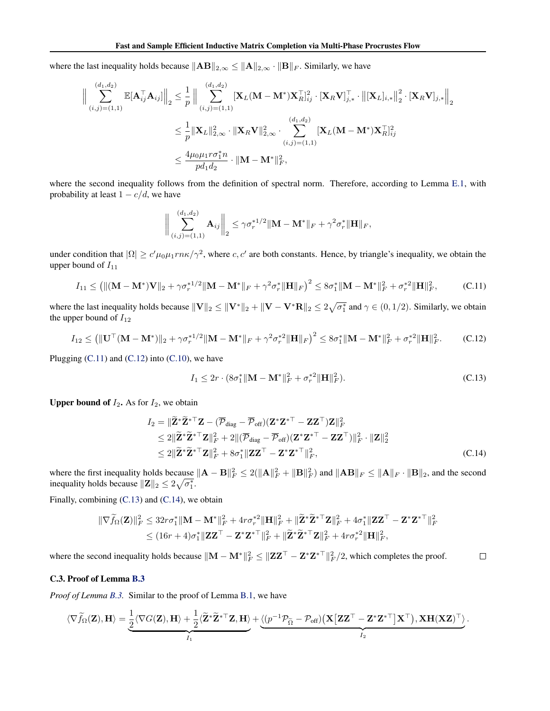where the last inequality holds because  $||AB||_{2,\infty} \le ||A||_{2,\infty} \cdot ||B||_F$ . Similarly, we have

$$
\begin{aligned}\n\left\| \sum_{(i,j)=(1,1)}^{(d_1,d_2)} \mathbb{E}[\mathbf{A}_{ij}^\top \mathbf{A}_{ij}] \right\|_2 &\leq \frac{1}{p} \left\| \sum_{(i,j)=(1,1)}^{(d_1,d_2)} [\mathbf{X}_L(\mathbf{M}-\mathbf{M}^*)\mathbf{X}_R^\top]_{ij}^2 \cdot [\mathbf{X}_R \mathbf{V}]_{j,*}^\top \cdot \left\| [\mathbf{X}_L]_{i,*} \right\|_2^2 \cdot [\mathbf{X}_R \mathbf{V}]_{j,*} \right\|_2 \\
&\leq \frac{1}{p} \|\mathbf{X}_L\|_{2,\infty}^2 \cdot \|\mathbf{X}_R \mathbf{V}\|_{2,\infty}^2 \cdot \sum_{(i,j)=(1,1)}^{(d_1,d_2)} [\mathbf{X}_L(\mathbf{M}-\mathbf{M}^*)\mathbf{X}_R^\top]_{ij}^2 \\
&\leq \frac{4\mu_0 \mu_1 r \sigma_1^* n}{p d_1 d_2} \cdot \|\mathbf{M}-\mathbf{M}^*\|_F^2,\n\end{aligned}
$$

where the second inequality follows from the definition of spectral norm. Therefore, according to Lemma E.1, with probability at least  $1 - c/d$ , we have

$$
\bigg\|\sum_{(i,j)=(1,1)}^{(d_1,d_2)}\mathbf{A}_{ij}\bigg\|_2 \leq \gamma\sigma_r^{*1/2}\|\mathbf{M}-\mathbf{M}^*\|_F + \gamma^2\sigma_r^*\|\mathbf{H}\|_F,
$$

under condition that  $|\Omega| \ge c'\mu_0\mu_1 r n\kappa/\gamma^2$ , where c, c' are both constants. Hence, by triangle's inequality, we obtain the upper bound of  $I_{11}$ 

$$
I_{11} \leq \left( \| (\mathbf{M} - \mathbf{M}^*)\mathbf{V} \|_{2} + \gamma \sigma_r^{*1/2} \| \mathbf{M} - \mathbf{M}^* \|_{F} + \gamma^2 \sigma_r^{*} \| \mathbf{H} \|_{F} \right)^2 \leq 8\sigma_1^{*} \| \mathbf{M} - \mathbf{M}^* \|_{F}^2 + \sigma_r^{*2} \| \mathbf{H} \|_{F}^2, \tag{C.11}
$$

where the last inequality holds because  $\|\mathbf{V}\|_2 \leq \|\mathbf{V}^*\|_2 + \|\mathbf{V} - \mathbf{V}^*\mathbf{R}\|_2 \leq 2\sqrt{\sigma_1^*}$  and  $\gamma \in (0, 1/2)$ . Similarly, we obtain the upper bound of  $I_{12}$ 

$$
I_{12} \leq \left( \|\mathbf{U}^{\top}(\mathbf{M} - \mathbf{M}^*)\|_{2} + \gamma \sigma_r^{*1/2} \|\mathbf{M} - \mathbf{M}^*\|_{F} + \gamma^2 \sigma_r^{*2} \|\mathbf{H}\|_{F} \right)^2 \leq 8\sigma_1^* \|\mathbf{M} - \mathbf{M}^*\|_{F}^2 + \sigma_r^{*2} \|\mathbf{H}\|_{F}^2. \tag{C.12}
$$

Plugging  $(C.11)$  and  $(C.12)$  into  $(C.10)$ , we have

$$
I_1 \le 2r \cdot (8\sigma_1^* \| \mathbf{M} - \mathbf{M}^* \|_F^2 + \sigma_r^{*2} \| \mathbf{H} \|_F^2). \tag{C.13}
$$

.

**Upper bound of**  $I_2$ **.** As for  $I_2$ , we obtain

$$
I_2 = \|\widetilde{\mathbf{Z}}^* \widetilde{\mathbf{Z}}^{*\top} \mathbf{Z} - (\overline{\mathcal{P}}_{\text{diag}} - \overline{\mathcal{P}}_{\text{off}}) (\mathbf{Z}^* \mathbf{Z}^{*\top} - \mathbf{Z} \mathbf{Z}^{\top}) \mathbf{Z} \|_F^2
$$
  
\n
$$
\leq 2 \|\widetilde{\mathbf{Z}}^* \widetilde{\mathbf{Z}}^{*\top} \mathbf{Z} \|_F^2 + 2 \| (\overline{\mathcal{P}}_{\text{diag}} - \overline{\mathcal{P}}_{\text{off}}) (\mathbf{Z}^* \mathbf{Z}^{*\top} - \mathbf{Z} \mathbf{Z}^{\top}) \|_F^2 \cdot \|\mathbf{Z} \|_2^2
$$
  
\n
$$
\leq 2 \|\widetilde{\mathbf{Z}}^* \widetilde{\mathbf{Z}}^{*\top} \mathbf{Z} \|_F^2 + 8\sigma_1^* \|\mathbf{Z} \mathbf{Z}^{\top} - \mathbf{Z}^* \mathbf{Z}^{*\top} \|_F^2, \tag{C.14}
$$

where the first inequality holds because  $\|\mathbf{A} - \mathbf{B}\|_F^2 \le 2(\|\mathbf{A}\|_F^2 + \|\mathbf{B}\|_F^2)$  and  $\|\mathbf{A}\mathbf{B}\|_F \le \|\mathbf{A}\|_F \cdot \|\mathbf{B}\|_2$ , and the second inequality holds because  $||\mathbf{Z}||_2 \leq 2\sqrt{\sigma_1^*}$ .

Finally, combining (C.13) and (C.14), we obtain

$$
\begin{aligned} \|\nabla \widetilde{f}_{\Omega}(\mathbf{Z})\|_{F}^{2} &\leq 32r\sigma_{1}^{*} \|\mathbf{M} - \mathbf{M}^{*}\|_{F}^{2} + 4r\sigma_{r}^{*2} \|\mathbf{H}\|_{F}^{2} + \|\widetilde{\mathbf{Z}}^{*}\widetilde{\mathbf{Z}}^{* \top} \mathbf{Z}\|_{F}^{2} + 4\sigma_{1}^{*} \|\mathbf{Z}\mathbf{Z}^{\top} - \mathbf{Z}^{*}\mathbf{Z}^{* \top}\|_{F}^{2} \\ &\leq (16r + 4)\sigma_{1}^{*} \|\mathbf{Z}\mathbf{Z}^{\top} - \mathbf{Z}^{*}\mathbf{Z}^{* \top}\|_{F}^{2} + \|\widetilde{\mathbf{Z}}^{*}\widetilde{\mathbf{Z}}^{* \top}\mathbf{Z}\|_{F}^{2} + 4r\sigma_{r}^{*2} \|\mathbf{H}\|_{F}^{2}, \end{aligned}
$$

where the second inequality holds because  $\|\mathbf{M} - \mathbf{M}^*\|_F^2 \leq \|\mathbf{Z}\mathbf{Z}^\top - \mathbf{Z}^*\mathbf{Z}^{*\top}\|_F^2/2$ , which completes the proof.  $\Box$ 

# C.3. Proof of Lemma B.3

*Proof of Lemma B.3.* Similar to the proof of Lemma B.1, we have

$$
\langle\nabla\widetilde{f}_{\Omega}(\mathbf{Z}),\mathbf{H}\rangle=\underbrace{\frac{1}{2}\langle\nabla G(\mathbf{Z}),\mathbf{H}\rangle+\frac{1}{2}\langle\widetilde{\mathbf{Z}}^{\ast}\widetilde{\mathbf{Z}}^{\ast\top}\mathbf{Z},\mathbf{H}\rangle}_{I_1}+\underbrace{\langle(p^{-1}\mathcal{P}_{\widetilde{\Omega}}-\mathcal{P}_{\mathrm{off}})\big(\mathbf{X}\big[\mathbf{Z}\mathbf{Z}^{\top}-\mathbf{Z}^{\ast}\mathbf{Z}^{\ast\top}\big]\mathbf{X}^{\top}\big),\mathbf{X}\mathbf{H}(\mathbf{X}\mathbf{Z})^{\top}}_{I_2}\rangle
$$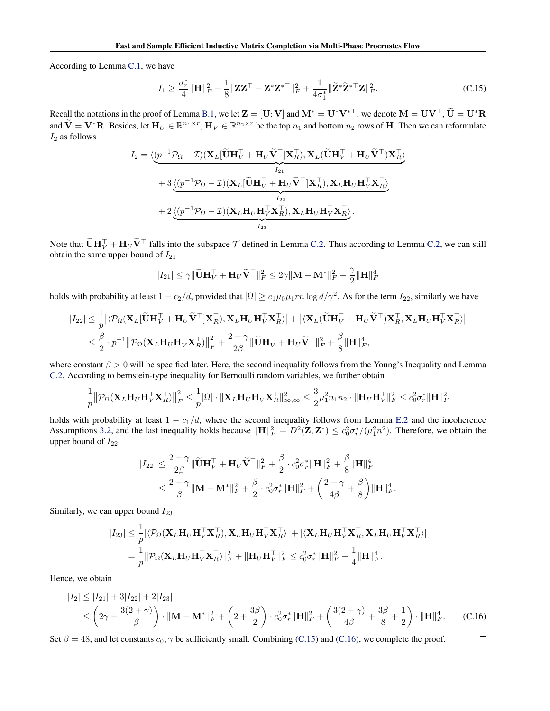According to Lemma C.1, we have

$$
I_1 \ge \frac{\sigma_r^*}{4} \|\mathbf{H}\|_F^2 + \frac{1}{8} \|\mathbf{Z}\mathbf{Z}^\top - \mathbf{Z}^* \mathbf{Z}^{*\top}\|_F^2 + \frac{1}{4\sigma_1^*} \|\widetilde{\mathbf{Z}}^* \widetilde{\mathbf{Z}}^{*\top} \mathbf{Z}\|_F^2. \tag{C.15}
$$

Recall the notations in the proof of Lemma B.1, we let  $\mathbf{Z} = [\mathbf{U}; \mathbf{V}]$  and  $\mathbf{M}^* = \mathbf{U}^* \mathbf{V}^{*\top}$ , we denote  $\mathbf{M} = \mathbf{U} \mathbf{V}^\top$ ,  $\widetilde{\mathbf{U}} = \mathbf{U}^* \mathbf{R}$ and  $\widetilde{\mathbf{V}} = \mathbf{V}^* \mathbf{R}$ . Besides, let  $\mathbf{H}_U \in \mathbb{R}^{n_1 \times r}$ ,  $\mathbf{H}_V \in \mathbb{R}^{n_2 \times r}$  be the top  $n_1$  and bottom  $n_2$  rows of **H**. Then we can reformulate  $I_2$  as follows

$$
I_2 = \langle \underbrace{(p^{-1}\mathcal{P}_{\Omega} - \mathcal{I})(\mathbf{X}_L[\widetilde{\mathbf{U}}\mathbf{H}_V^{\top} + \mathbf{H}_U\widetilde{\mathbf{V}}^{\top}]\mathbf{X}_R^{\top}), \mathbf{X}_L(\widetilde{\mathbf{U}}\mathbf{H}_V^{\top} + \mathbf{H}_U\widetilde{\mathbf{V}}^{\top})\mathbf{X}_R^{\top}}_{I_{21}} \rangle
$$
  
+ 3 \langle \underbrace{(p^{-1}\mathcal{P}\_{\Omega} - \mathcal{I})(\mathbf{X}\_L[\widetilde{\mathbf{U}}\mathbf{H}\_V^{\top} + \mathbf{H}\_U\widetilde{\mathbf{V}}^{\top}]\mathbf{X}\_R^{\top}), \mathbf{X}\_L\mathbf{H}\_U\mathbf{H}\_V^{\top}\mathbf{X}\_R^{\top}}\_{I\_{22}} \rangle  
+ 2 \underbrace{\langle (p^{-1}\mathcal{P}\_{\Omega} - \mathcal{I})(\mathbf{X}\_L\mathbf{H}\_U\mathbf{H}\_V^{\top}\mathbf{X}\_R^{\top}), \mathbf{X}\_L\mathbf{H}\_U\mathbf{H}\_V^{\top}\mathbf{X}\_R^{\top}}\_{I\_{23}} \rangle.

Note that  $\widetilde{\mathbf{U}}\mathbf{H}_{V}^{\top} + \mathbf{H}_{U}\widetilde{\mathbf{V}}^{\top}$  falls into the subspace  $\mathcal{T}$  defined in Lemma C.2. Thus according to Lemma C.2, we can still obtain the same upper bound of  $I_{21}$ 

$$
|I_{21}| \leq \gamma \|\widetilde{\mathbf{U}}\mathbf{H}_V^\top + \mathbf{H}_U \widetilde{\mathbf{V}}^\top\|_F^2 \leq 2\gamma \|\mathbf{M} - \mathbf{M}^*\|_F^2 + \frac{\gamma}{2} \|\mathbf{H}\|_F^4
$$

holds with probability at least  $1-c_2/d$ , provided that  $|\Omega|\geq c_1\mu_0\mu_1rn\log d/\gamma^2$ . As for the term  $I_{22}$ , similarly we have

$$
\begin{aligned} |I_{22}| \leq & ~{} \frac{1}{p}\big|\langle \mathcal{P}_{\Omega}(\mathbf{X}_L[\widetilde{\mathbf{U}}\mathbf{H}_V^\top+\mathbf{H}_U\widetilde{\mathbf{V}}^\top]\mathbf{X}_R^\top),\mathbf{X}_L\mathbf{H}_U\mathbf{H}_V^\top\mathbf{X}_R^\top\rangle\big| + \big|\langle \mathbf{X}_L(\widetilde{\mathbf{U}}\mathbf{H}_V^\top+\mathbf{H}_U\widetilde{\mathbf{V}}^\top)\mathbf{X}_R^\top,\mathbf{X}_L\mathbf{H}_U\mathbf{H}_V^\top\mathbf{X}_R^\top\rangle\big| \\ \leq & ~{} \frac{\beta}{2}\cdot p^{-1}\big\|\mathcal{P}_{\Omega}(\mathbf{X}_L\mathbf{H}_U\mathbf{H}_V^\top\mathbf{X}_R^\top)\big\|_F^2 + \frac{2+\gamma}{2\beta}\|\widetilde{\mathbf{U}}\mathbf{H}_V^\top+\mathbf{H}_U\widetilde{\mathbf{V}}^\top\|_F^2 + \frac{\beta}{8}\|\mathbf{H}\|_F^4, \end{aligned}
$$

where constant  $\beta > 0$  will be specified later. Here, the second inequality follows from the Young's Inequality and Lemma C.2. According to bernstein-type inequality for Bernoulli random variables, we further obtain

$$
\frac{1}{p} \big\| \mathcal{P}_{\Omega}(\mathbf{X}_L \mathbf{H}_U \mathbf{H}_V^\top \mathbf{X}_R^\top) \big\|_F^2 \leq \frac{1}{p} |\Omega| \cdot \|\mathbf{X}_L \mathbf{H}_U \mathbf{H}_V^\top \mathbf{X}_R^\top \|_\infty^2_\infty \leq \frac{3}{2} \mu_1^2 n_1 n_2 \cdot \|\mathbf{H}_U \mathbf{H}_V^\top \|_F^2 \leq c_0^2 \sigma_r^* \|\mathbf{H}\|_F^2
$$

holds with probability at least  $1 - c_1/d$ , where the second inequality follows from Lemma E.2 and the incoherence Assumptions 3.2, and the last inequality holds because  $\|\mathbf{H}\|_F^2 = D^2(\mathbf{Z}, \mathbf{Z}^*) \le c_0^2 \sigma_r^*/(\mu_1^2 n^2)$ . Therefore, we obtain the upper bound of  $I_{22}$ 

$$
|I_{22}| \leq \frac{2+\gamma}{2\beta} \|\widetilde{\mathbf{U}}\mathbf{H}_{V}^{\top} + \mathbf{H}_{U} \widetilde{\mathbf{V}}^{\top}\|_{F}^{2} + \frac{\beta}{2} \cdot c_{0}^{2} \sigma_{r}^{*} \|\mathbf{H}\|_{F}^{2} + \frac{\beta}{8} \|\mathbf{H}\|_{F}^{4}
$$
  

$$
\leq \frac{2+\gamma}{\beta} \|\mathbf{M} - \mathbf{M}^{*}\|_{F}^{2} + \frac{\beta}{2} \cdot c_{0}^{2} \sigma_{r}^{*} \|\mathbf{H}\|_{F}^{2} + \left(\frac{2+\gamma}{4\beta} + \frac{\beta}{8}\right) \|\mathbf{H}\|_{F}^{4}.
$$

Similarly, we can upper bound  $I_{23}$ 

$$
|I_{23}| \leq \frac{1}{p} |\langle \mathcal{P}_{\Omega}(\mathbf{X}_{L}\mathbf{H}_{U}\mathbf{H}_{V}^{\top}\mathbf{X}_{R}^{\top}), \mathbf{X}_{L}\mathbf{H}_{U}\mathbf{H}_{V}^{\top}\mathbf{X}_{R}^{\top}\rangle| + |\langle \mathbf{X}_{L}\mathbf{H}_{U}\mathbf{H}_{V}^{\top}\mathbf{X}_{R}^{\top}, \mathbf{X}_{L}\mathbf{H}_{U}\mathbf{H}_{V}^{\top}\mathbf{X}_{R}^{\top}\rangle|
$$
  
= 
$$
\frac{1}{p} ||\mathcal{P}_{\Omega}(\mathbf{X}_{L}\mathbf{H}_{U}\mathbf{H}_{V}^{\top}\mathbf{X}_{R}^{\top})||_{F}^{2} + ||\mathbf{H}_{U}\mathbf{H}_{V}^{\top}||_{F}^{2} \leq c_{0}^{2}\sigma_{r}^{*}||\mathbf{H}||_{F}^{2} + \frac{1}{4}||\mathbf{H}||_{F}^{4}.
$$

Hence, we obtain

$$
|I_2| \le |I_{21}| + 3|I_{22}| + 2|I_{23}|
$$
  
\n
$$
\le \left(2\gamma + \frac{3(2+\gamma)}{\beta}\right) \cdot ||\mathbf{M} - \mathbf{M}^*||_F^2 + \left(2 + \frac{3\beta}{2}\right) \cdot c_0^2 \sigma_r^* ||\mathbf{H}||_F^2 + \left(\frac{3(2+\gamma)}{4\beta} + \frac{3\beta}{8} + \frac{1}{2}\right) \cdot ||\mathbf{H}||_F^4.
$$
 (C.16)

 $\Box$ 

Set  $\beta = 48$ , and let constants  $c_0$ ,  $\gamma$  be sufficiently small. Combining (C.15) and (C.16), we complete the proof.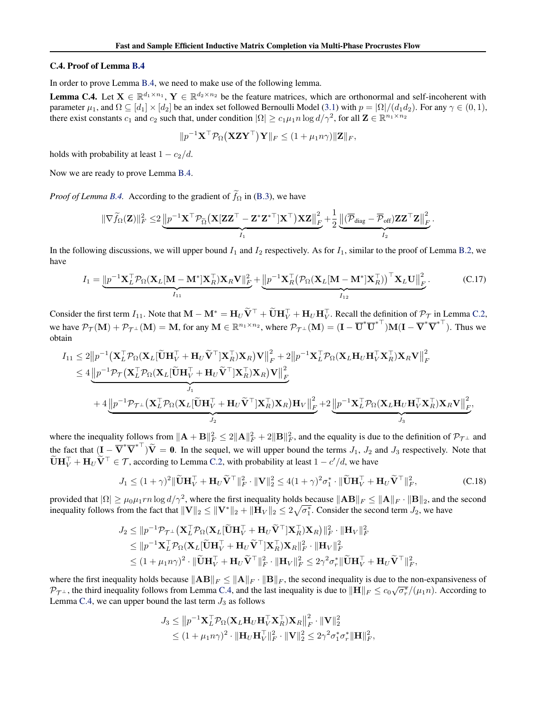### C.4. Proof of Lemma B.4

In order to prove Lemma B.4, we need to make use of the following lemma.

**Lemma C.4.** Let  $X \in \mathbb{R}^{d_1 \times n_1}$ ,  $Y \in \mathbb{R}^{d_2 \times n_2}$  be the feature matrices, which are orthonormal and self-incoherent with parameter  $\mu_1$ , and  $\Omega \subseteq [d_1] \times [d_2]$  be an index set followed Bernoulli Model (3.1) with  $p = |\Omega|/(d_1 d_2)$ . For any  $\gamma \in (0, 1)$ , there exist constants  $c_1$  and  $c_2$  such that, under condition  $|\Omega| \ge c_1 \mu_1 n \log d/\gamma^2$ , for all  $\mathbf{Z} \in \mathbb{R}^{n_1 \times n_2}$ 

$$
||p^{-1}\mathbf{X}^{\top}\mathcal{P}_{\Omega}(\mathbf{X}\mathbf{Z}\mathbf{Y}^{\top})\mathbf{Y}||_F \leq (1 + \mu_1 n \gamma)||\mathbf{Z}||_F,
$$

holds with probability at least  $1 - c_2/d$ .

Now we are ready to prove Lemma B.4.

*Proof of Lemma B.4.* According to the gradient of  $\tilde{f}_{\Omega}$  in (B.3), we have

$$
\|\nabla \widetilde{f}_{\Omega}(\mathbf{Z})\|_{F}^{2} \leq 2 \underbrace{\left\|p^{-1} \mathbf{X}^{\top} \mathcal{P}_{\widetilde{\Omega}}\big(\mathbf{X}[\mathbf{Z}\mathbf{Z}^{\top}-\mathbf{Z}^{*}\mathbf{Z}^{* \top}]\mathbf{X}^{\top}\big) \mathbf{X} \mathbf{Z}\right\|_{F}^{2}}_{I_{1}} + \frac{1}{2} \underbrace{\left\|(\overline{\mathcal{P}}_{\text{diag}}-\overline{\mathcal{P}}_{\text{off}})\mathbf{Z}\mathbf{Z}^{\top} \mathbf{Z}\right\|_{F}^{2}}_{I_{2}}
$$

In the following discussions, we will upper bound  $I_1$  and  $I_2$  respectively. As for  $I_1$ , similar to the proof of Lemma B.2, we have

$$
I_1 = \underbrace{\left\| p^{-1} \mathbf{X}_L^\top \mathcal{P}_{\Omega} (\mathbf{X}_L [\mathbf{M} - \mathbf{M}^*] \mathbf{X}_R^\top) \mathbf{X}_R \mathbf{V} \right\|_F^2}_{I_{11}} + \underbrace{\left\| p^{-1} \mathbf{X}_R^\top (\mathcal{P}_{\Omega} (\mathbf{X}_L [\mathbf{M} - \mathbf{M}^*] \mathbf{X}_R^\top))^\top \mathbf{X}_L \mathbf{U} \right\|_F^2}_{I_{12}}.
$$
 (C.17)

.

Consider the first term  $I_{11}$ . Note that  $\mathbf{M} - \mathbf{M}^* = \mathbf{H}_U \tilde{\mathbf{V}}^\top + \tilde{\mathbf{U}} \mathbf{H}_V^\top + \mathbf{H}_U \mathbf{H}_V^\top$ . Recall the definition of  $\mathcal{P}_\mathcal{T}$  in Lemma C.2, we have  $\mathcal{P}_{\mathcal{T}}(\mathbf{M}) + \mathcal{P}_{\mathcal{T}^{\perp}}(\mathbf{M}) = \mathbf{M}$ , for any  $\mathbf{M} \in \mathbb{R}^{n_1 \times n_2}$ , where  $\mathcal{P}_{\mathcal{T}^{\perp}}(\mathbf{M}) = (\mathbf{I} - \overline{\mathbf{U}}^*\overline{\mathbf{U}}^{*\top})\mathbf{M}(\mathbf{I} - \overline{\mathbf{V}}^*\overline{\mathbf{V}}^{*\top})$ . Thus we obtain

$$
I_{11} \leq 2 \left\| p^{-1} \left( \mathbf{X}_{L}^{\top} \mathcal{P}_{\Omega} (\mathbf{X}_{L} [\widetilde{\mathbf{U}} \mathbf{H}_{V}^{\top} + \mathbf{H}_{U} \widetilde{\mathbf{V}}^{\top}] \mathbf{X}_{R}^{\top} ) \mathbf{X}_{R} \right) \mathbf{V} \right\|_{F}^{2} + 2 \left\| p^{-1} \mathbf{X}_{L}^{\top} \mathcal{P}_{\Omega} (\mathbf{X}_{L} \mathbf{H}_{U} \mathbf{H}_{V}^{\top} \mathbf{X}_{R}^{\top}) \mathbf{X}_{R} \mathbf{V} \right\|_{F}^{2} \n\leq 4 \underbrace{\left\| p^{-1} \mathcal{P}_{\mathcal{T}} (\mathbf{X}_{L}^{\top} \mathcal{P}_{\Omega} (\mathbf{X}_{L} [\widetilde{\mathbf{U}} \mathbf{H}_{V}^{\top} + \mathbf{H}_{U} \widetilde{\mathbf{V}}^{\top}] \mathbf{X}_{R}^{\top}) \mathbf{X}_{R} \right) \mathbf{V} \right\|_{F}^{2}}_{J_{1}} + 4 \underbrace{\left\| p^{-1} \mathcal{P}_{\mathcal{T}^{\perp}} (\mathbf{X}_{L}^{\top} \mathcal{P}_{\Omega} (\mathbf{X}_{L} [\widetilde{\mathbf{U}} \mathbf{H}_{V}^{\top} + \mathbf{H}_{U} \widetilde{\mathbf{V}}^{\top}] \mathbf{X}_{R}^{\top}) \mathbf{X}_{R} \right) \mathbf{H}_{V} \right\|_{F}^{2}}_{J_{2}} + 2 \underbrace{\left\| p^{-1} \mathbf{X}_{L}^{\top} \mathcal{P}_{\Omega} (\mathbf{X}_{L} \mathbf{H}_{U} \mathbf{H}_{V}^{\top} \mathbf{X}_{R}^{\top}) \mathbf{X}_{R} \mathbf{V} \right\|_{F}^{2}}_{J_{3}},
$$

where the inequality follows from  $\|\mathbf{A} + \mathbf{B}\|_F^2 \le 2 \|\mathbf{A}\|_F^2 + 2 \|\mathbf{B}\|_F^2$ , and the equality is due to the definition of  $\mathcal{P}_{\mathcal{T}^{\perp}}$  and the fact that  $(I - \overline{V}^* \overline{V}^*^\top) \tilde{V} = 0$ . In the sequel, we will upper bound the terms  $J_1$ ,  $J_2$  and  $J_3$  respectively. Note that  $\widetilde{\mathbf{U}}\mathbf{H}_{V}^{\top} + \mathbf{H}_{U}\widetilde{\mathbf{V}}^{\top} \in \mathcal{T}$ , according to Lemma C.2, with probability at least  $1 - c'/d$ , we have

$$
J_1 \le (1+\gamma)^2 \|\widetilde{\mathbf{U}}\mathbf{H}_V^\top + \mathbf{H}_U \widetilde{\mathbf{V}}^\top\|_F^2 \cdot \|\mathbf{V}\|_2^2 \le 4(1+\gamma)^2 \sigma_1^* \cdot \|\widetilde{\mathbf{U}}\mathbf{H}_V^\top + \mathbf{H}_U \widetilde{\mathbf{V}}^\top\|_F^2, \tag{C.18}
$$

provided that  $|\Omega| \ge \mu_0 \mu_1 r n \log d/\gamma^2$ , where the first inequality holds because  $\|\mathbf{AB}\|_F \le \|\mathbf{A}\|_F \cdot \|\mathbf{B}\|_2$ , and the second inequality follows from the fact that  $\|\mathbf{V}\|_2 \leq \|\mathbf{V}^*\|_2 + \|\mathbf{H}_V\|_2 \leq 2\sqrt{\sigma_1^*}.$  Consider the second term  $J_2$ , we have

$$
J_2 \le ||p^{-1}\mathcal{P}_{\mathcal{T}^\perp}(\mathbf{X}_L^\top \mathcal{P}_{\Omega}(\mathbf{X}_L[\widetilde{\mathbf{U}}\mathbf{H}_V^\top + \mathbf{H}_U \widetilde{\mathbf{V}}^\top] \mathbf{X}_R^\top) \mathbf{X}_R)||_F^2 \cdot \|\mathbf{H}_V\|_F^2
$$
  
\n
$$
\le ||p^{-1}\mathbf{X}_L^\top \mathcal{P}_{\Omega}(\mathbf{X}_L[\widetilde{\mathbf{U}}\mathbf{H}_V^\top + \mathbf{H}_U \widetilde{\mathbf{V}}^\top] \mathbf{X}_R^\top) \mathbf{X}_R||_F^2 \cdot \|\mathbf{H}_V\|_F^2
$$
  
\n
$$
\le (1 + \mu_1 n \gamma)^2 \cdot \|\widetilde{\mathbf{U}}\mathbf{H}_V^\top + \mathbf{H}_U \widetilde{\mathbf{V}}^\top\|_F^2 \cdot \|\mathbf{H}_V\|_F^2 \le 2\gamma^2 \sigma_r^* \|\widetilde{\mathbf{U}}\mathbf{H}_V^\top + \mathbf{H}_U \widetilde{\mathbf{V}}^\top\|_F^2,
$$

where the first inequality holds because  $||AB||_F \le ||A||_F$ .  $||B||_F$ , the second inequality is due to the non-expansiveness of  $\mathcal{P}_{\mathcal{T}^{\perp}}$ , the third inequality follows from Lemma C.4, and the last inequality is due to  $\|\mathbf{H}\|_F \le c_0 \sqrt{\sigma_r^*}/(\mu_1 n)$ . According to Lemma C.4, we can upper bound the last term  $J_3$  as follows

$$
J_3 \leq ||p^{-1}\mathbf{X}_L^{\top} \mathcal{P}_{\Omega}(\mathbf{X}_L \mathbf{H}_U \mathbf{H}_V^{\top} \mathbf{X}_R^{\top}) \mathbf{X}_R||_F^2 \cdot ||\mathbf{V}||_2^2
$$
  

$$
\leq (1 + \mu_1 n \gamma)^2 \cdot ||\mathbf{H}_U \mathbf{H}_V^{\top}||_F^2 \cdot ||\mathbf{V}||_2^2 \leq 2\gamma^2 \sigma_1^* \sigma_r^* ||\mathbf{H}||_F^2,
$$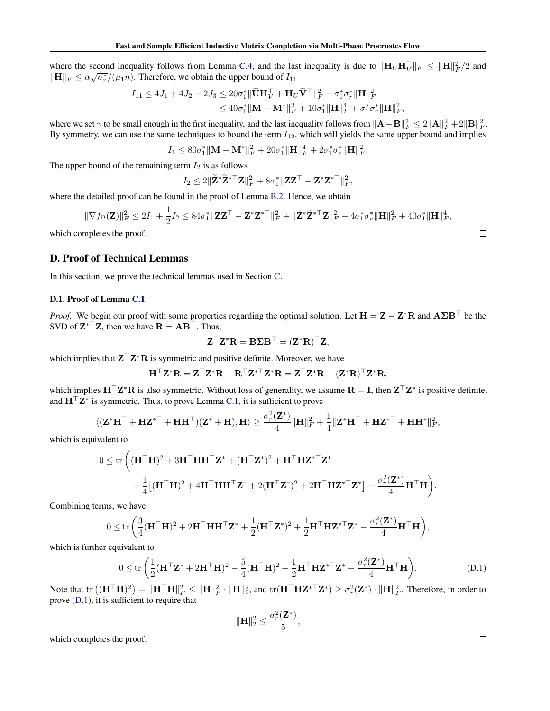where the second inequality follows from Lemma C.4, and the last inequality is due to  $\|\mathbf{H}_U\mathbf{H}_V^\top\|_F \leq \|\mathbf{H}\|_F^2/2$  and  $\|\mathbf{H}\|_F \leq \alpha \sqrt{\sigma_r^*}/(\mu_1 n)$ . Therefore, we obtain the upper bound of  $I_{11}$ 

$$
I_{11} \le 4J_1 + 4J_2 + 2J_3 \le 20\sigma_1^* \|\widetilde{\mathbf{U}}\mathbf{H}_V^{\top} + \mathbf{H}_U \widetilde{\mathbf{V}}^{\top}\|_F^2 + \sigma_1^* \sigma_r^* \|\mathbf{H}\|_F^2
$$
  

$$
\le 40\sigma_1^* \|\mathbf{M} - \mathbf{M}^*\|_F^2 + 10\sigma_1^* \|\mathbf{H}\|_F^4 + \sigma_1^* \sigma_r^* \|\mathbf{H}\|_F^2,
$$

where we set  $\gamma$  to be small enough in the first inequality, and the last inequality follows from  $\|\mathbf{A} + \mathbf{B}\|_F^2 \le 2 \|\mathbf{A}\|_F^2 + 2 \|\mathbf{B}\|_F^2$ . By symmetry, we can use the same techniques to bound the term  $I_{12}$ , which will yields the same upper bound and implies

$$
I_1 \le 80\sigma_1^* \|{\bf M} - {\bf M}^*\|_F^2 + 20\sigma_1^* \|{\bf H}\|_F^4 + 2\sigma_1^* \sigma_r^* \|{\bf H}\|_F^2.
$$

The upper bound of the remaining term  $I_2$  is as follows

$$
I_2 \leq 2\|\widetilde{\mathbf{Z}}^*\widetilde{\mathbf{Z}}^{*\top}\mathbf{Z}\|_F^2 + 8\sigma_1^*\|\mathbf{Z}\mathbf{Z}^\top - \mathbf{Z}^*\mathbf{Z}^{*\top}\|_F^2,
$$

where the detailed proof can be found in the proof of Lemma B.2. Hence, we obtain

$$
\|\nabla \widetilde{f}_{\Omega}(\mathbf{Z})\|_{F}^{2} \leq 2I_{1} + \frac{1}{2}I_{2} \leq 84\sigma_{1}^{*}\|\mathbf{Z}\mathbf{Z}^{\top} - \mathbf{Z}^{*}\mathbf{Z}^{* \top}\|_{F}^{2} + \|\widetilde{\mathbf{Z}}^{*}\widetilde{\mathbf{Z}}^{* \top}\mathbf{Z}\|_{F}^{2} + 4\sigma_{1}^{*}\sigma_{r}^{*}\|\mathbf{H}\|_{F}^{2} + 40\sigma_{1}^{*}\|\mathbf{H}\|_{F}^{4},
$$
\n
$$
\Box
$$
\nimplotes the proof.

which completes the proof.

# D. Proof of Technical Lemmas

In this section, we prove the technical lemmas used in Section C.

## D.1. Proof of Lemma C.1

*Proof.* We begin our proof with some properties regarding the optimal solution. Let  $H = Z - Z^*R$  and  $A\Sigma B^{\top}$  be the SVD of  $\mathbf{Z}^{*T} \mathbf{Z}$ , then we have  $\mathbf{R} = \mathbf{A} \mathbf{B}^{\top}$ . Thus,

$$
\mathbf{Z}^{\top} \mathbf{Z}^* \mathbf{R} = \mathbf{B} \boldsymbol{\Sigma} \mathbf{B}^{\top} = (\mathbf{Z}^* \mathbf{R})^{\top} \mathbf{Z},
$$

which implies that  $Z^{\top}Z^*R$  is symmetric and positive definite. Moreover, we have

$$
\mathbf{H}^{\top} \mathbf{Z}^* \mathbf{R} = \mathbf{Z}^{\top} \mathbf{Z}^* \mathbf{R} - \mathbf{R}^{\top} \mathbf{Z}^{* \top} \mathbf{Z}^* \mathbf{R} = \mathbf{Z}^{\top} \mathbf{Z}^* \mathbf{R} - (\mathbf{Z}^* \mathbf{R})^{\top} \mathbf{Z}^* \mathbf{R},
$$

which implies  $H^{\top}Z^*R$  is also symmetric. Without loss of generality, we assume  $R = I$ , then  $Z^{\top}Z^*$  is positive definite, and  $\mathbf{H}^{\top} \mathbf{Z}^*$  is symmetric. Thus, to prove Lemma C.1, it is sufficient to prove

$$
\langle (\mathbf{Z}^*\mathbf{H}^\top + \mathbf{H}\mathbf{Z}^{*\top} + \mathbf{H}\mathbf{H}^\top)(\mathbf{Z}^* + \mathbf{H}), \mathbf{H} \rangle \ge \frac{\sigma_r^2(\mathbf{Z}^*)}{4} \|\mathbf{H}\|_F^2 + \frac{1}{4} \|\mathbf{Z}^*\mathbf{H}^\top + \mathbf{H}\mathbf{Z}^{*\top} + \mathbf{H}\mathbf{H}^*\|_F^2,
$$

which is equivalent to

$$
0 \leq \operatorname{tr}\left( (\mathbf{H}^\top \mathbf{H})^2 + 3\mathbf{H}^\top \mathbf{H} \mathbf{H}^\top \mathbf{Z}^* + (\mathbf{H}^\top \mathbf{Z}^*)^2 + \mathbf{H}^\top \mathbf{H} \mathbf{Z}^{*\top} \mathbf{Z}^* \right. \\ \left. - \frac{1}{4} \left[ (\mathbf{H}^\top \mathbf{H})^2 + 4\mathbf{H}^\top \mathbf{H} \mathbf{H}^\top \mathbf{Z}^* + 2(\mathbf{H}^\top \mathbf{Z}^*)^2 + 2\mathbf{H}^\top \mathbf{H} \mathbf{Z}^{*\top} \mathbf{Z}^* \right] - \frac{\sigma_r^2(\mathbf{Z}^*)}{4} \mathbf{H}^\top \mathbf{H} \right).
$$

Combining terms, we have

$$
0 \leq \mathrm{tr}\left(\frac{3}{4}(\mathbf{H}^{\top}\mathbf{H})^2+2\mathbf{H}^{\top}\mathbf{H}\mathbf{H}^{\top}\mathbf{Z}^*+\frac{1}{2}(\mathbf{H}^{\top}\mathbf{Z}^*)^2+\frac{1}{2}\mathbf{H}^{\top}\mathbf{H}\mathbf{Z}^{*\top}\mathbf{Z}^*-\frac{\sigma_r^2(\mathbf{Z}^*)}{4}\mathbf{H}^{\top}\mathbf{H}\right)\!,
$$

which is further equivalent to

$$
0 \leq \operatorname{tr}\left(\frac{1}{2}(\mathbf{H}^{\top}\mathbf{Z}^* + 2\mathbf{H}^{\top}\mathbf{H})^2 - \frac{5}{4}(\mathbf{H}^{\top}\mathbf{H})^2 + \frac{1}{2}\mathbf{H}^{\top}\mathbf{H}\mathbf{Z}^{*\top}\mathbf{Z}^* - \frac{\sigma_r^2(\mathbf{Z}^*)}{4}\mathbf{H}^{\top}\mathbf{H}\right).
$$
(D.1)

Note that  $\text{tr}\left((\mathbf{H}^{\top}\mathbf{H})^2\right) = \|\mathbf{H}^{\top}\mathbf{H}\|_F^2 \leq \|\mathbf{H}\|_F^2 \cdot \|\mathbf{H}\|_2^2$ , and  $\text{tr}(\mathbf{H}^{\top}\mathbf{H}\mathbf{Z}^{*\top}\mathbf{Z}^*) \geq \sigma_r^2(\mathbf{Z}^*) \cdot \|\mathbf{H}\|_F^2$ . Therefore, in order to prove (D.1), it is sufficient to require that

$$
\|\mathbf{H}\|_2^2 \leq \frac{\sigma_r^2(\mathbf{Z}^*)}{5},
$$

which completes the proof.

 $\Box$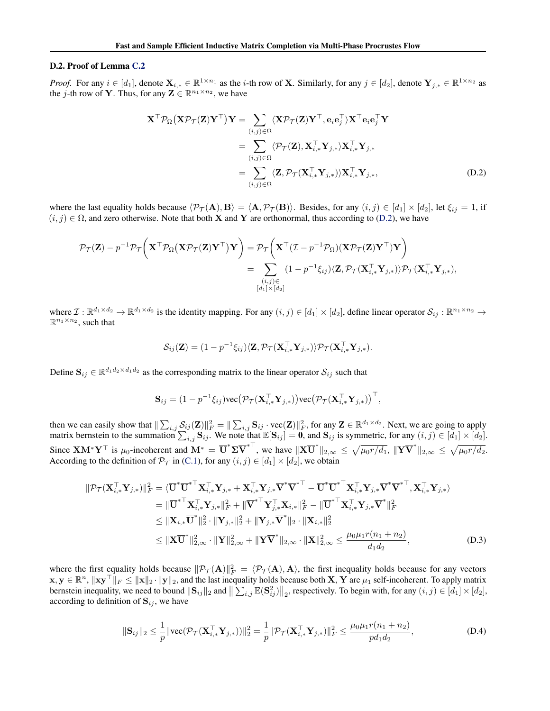### D.2. Proof of Lemma C.2

*Proof.* For any  $i \in [d_1]$ , denote  $\mathbf{X}_{i,*} \in \mathbb{R}^{1 \times n_1}$  as the *i*-th row of **X**. Similarly, for any  $j \in [d_2]$ , denote  $\mathbf{Y}_{j,*} \in \mathbb{R}^{1 \times n_2}$  as the *j*-th row of **Y**. Thus, for any  $\mathbf{Z} \in \mathbb{R}^{n_1 \times n_2}$ , we have

$$
\mathbf{X}^{\top} \mathcal{P}_{\Omega} (\mathbf{X} \mathcal{P}_{\mathcal{T}} (\mathbf{Z}) \mathbf{Y}^{\top}) \mathbf{Y} = \sum_{(i,j) \in \Omega} \langle \mathbf{X} \mathcal{P}_{\mathcal{T}} (\mathbf{Z}) \mathbf{Y}^{\top}, \mathbf{e}_{i} \mathbf{e}_{j}^{\top} \rangle \mathbf{X}^{\top} \mathbf{e}_{i} \mathbf{e}_{j}^{\top} \mathbf{Y} \n= \sum_{(i,j) \in \Omega} \langle \mathcal{P}_{\mathcal{T}} (\mathbf{Z}), \mathbf{X}_{i,*}^{\top} \mathbf{Y}_{j,*} \rangle \mathbf{X}_{i,*}^{\top} \mathbf{Y}_{j,*} \n= \sum_{(i,j) \in \Omega} \langle \mathbf{Z}, \mathcal{P}_{\mathcal{T}} (\mathbf{X}_{i,*}^{\top} \mathbf{Y}_{j,*}) \rangle \mathbf{X}_{i,*}^{\top} \mathbf{Y}_{j,*},
$$
\n(D.2)

where the last equality holds because  $\langle \mathcal{P}_{\mathcal{T}}(A), B \rangle = \langle A, \mathcal{P}_{\mathcal{T}}(B) \rangle$ . Besides, for any  $(i, j) \in [d_1] \times [d_2]$ , let  $\xi_{ij} = 1$ , if  $(i, j) \in \Omega$ , and zero otherwise. Note that both **X** and **Y** are orthonormal, thus according to (D.2), we have

$$
\mathcal{P}_{\mathcal{T}}(\mathbf{Z}) - p^{-1} \mathcal{P}_{\mathcal{T}}\bigg(\mathbf{X}^{\top} \mathcal{P}_{\Omega}(\mathbf{X} \mathcal{P}_{\mathcal{T}}(\mathbf{Z}) \mathbf{Y}^{\top}) \mathbf{Y}\bigg) = \mathcal{P}_{\mathcal{T}}\bigg(\mathbf{X}^{\top} (\mathcal{I} - p^{-1} \mathcal{P}_{\Omega})(\mathbf{X} \mathcal{P}_{\mathcal{T}}(\mathbf{Z}) \mathbf{Y}^{\top}) \mathbf{Y}\bigg) \n= \sum_{\substack{(i,j) \in \\ [d_1] \times [d_2]}} (1 - p^{-1} \xi_{ij}) \langle \mathbf{Z}, \mathcal{P}_{\mathcal{T}}(\mathbf{X}_{i,*}^{\top} \mathbf{Y}_{j,*}) \rangle \mathcal{P}_{\mathcal{T}}(\mathbf{X}_{i,*}^{\top} \mathbf{Y}_{j,*}),
$$

where  $\mathcal{I}: \mathbb{R}^{d_1 \times d_2} \to \mathbb{R}^{d_1 \times d_2}$  is the identity mapping. For any  $(i, j) \in [d_1] \times [d_2]$ , define linear operator  $\mathcal{S}_{ij}: \mathbb{R}^{n_1 \times n_2} \to$  $\mathbb{R}^{n_1 \times n_2}$ , such that

$$
\mathcal{S}_{ij}(\mathbf{Z}) = (1 - p^{-1}\xi_{ij})\langle \mathbf{Z}, \mathcal{P}_{\mathcal{T}}(\mathbf{X}_{i,*}^{\top}\mathbf{Y}_{j,*})\rangle \mathcal{P}_{\mathcal{T}}(\mathbf{X}_{i,*}^{\top}\mathbf{Y}_{j,*}).
$$

Define  $S_{ij} \in \mathbb{R}^{d_1 d_2 \times d_1 d_2}$  as the corresponding matrix to the linear operator  $S_{ij}$  such that

$$
\mathbf{S}_{ij} = (1 - p^{-1} \xi_{ij}) \text{vec} \big( \mathcal{P}_{\mathcal{T}}(\mathbf{X}_{i,*}^{\top} \mathbf{Y}_{j,*}) \big) \text{vec} \big( \mathcal{P}_{\mathcal{T}}(\mathbf{X}_{i,*}^{\top} \mathbf{Y}_{j,*}) \big) ^{\top},
$$

then we can easily show that  $\|\sum_{i,j} S_{ij}(\mathbf{Z})\|_F^2 = \|\sum_{i,j} \mathbf{S}_{ij} \cdot \text{vec}(\mathbf{Z})\|_F^2$ , for any  $\mathbf{Z} \in \mathbb{R}^{d_1 \times d_2}$ . Next, we are going to apply matrix bernstein to the summation  $\sum_{i,j}$   $S_{ij}$ . We note that  $\mathbb{E}[S_{ij}] = \mathbf{0}$ , and  $S_{ij}$  is symmetric, for any  $(i, j) \in [d_1] \times [d_2]$ . Since  $\mathbf{X}\mathbf{M}^*\mathbf{Y}^\top$  is  $\mu_0$ -incoherent and  $\mathbf{M}^* = \overline{\mathbf{U}}^*\mathbf{\Sigma}\overline{\mathbf{V}}^{*\top}$ , we have  $\|\mathbf{X}\overline{\mathbf{U}}^*\|_{2,\infty} \leq \sqrt{\mu_0 r/d_1}$ ,  $\|\mathbf{Y}\overline{\mathbf{V}}^*\|_{2,\infty} \leq \sqrt{\mu_0 r/d_2}$ . According to the definition of  $\mathcal{P}_{\mathcal{T}}$  in (C.1), for any  $(i, j) \in [d_1] \times [d_2]$ , we obtain

$$
\|\mathcal{P}_{\mathcal{T}}(\mathbf{X}_{i,*}^{\top}\mathbf{Y}_{j,*})\|_{F}^{2} = \langle \overline{\mathbf{U}}^{*} \overline{\mathbf{U}}^{*}^{\top} \mathbf{X}_{i,*}^{\top} \mathbf{Y}_{j,*} + \mathbf{X}_{i,*}^{\top} \mathbf{Y}_{j,*} \overline{\mathbf{V}}^{*} \overline{\mathbf{V}}^{*}^{\top} - \overline{\mathbf{U}}^{*} \overline{\mathbf{U}}^{*}^{\top} \mathbf{X}_{i,*}^{\top} \mathbf{Y}_{j,*} \overline{\mathbf{V}}^{*} \overline{\mathbf{V}}^{*}^{\top}, \mathbf{X}_{i,*}^{\top} \mathbf{Y}_{j,*} \rangle
$$
  
\n
$$
= \|\overline{\mathbf{U}}^{*} \mathbf{X}_{i,*}^{\top} \mathbf{Y}_{j,*}\|_{F}^{2} + \|\overline{\mathbf{V}}^{*} \mathbf{Y}_{j,*}^{\top} \mathbf{X}_{i,*}\|_{F}^{2} - \|\overline{\mathbf{U}}^{*}^{\top} \mathbf{X}_{i,*}^{\top} \mathbf{Y}_{j,*} \overline{\mathbf{V}}^{*}\|_{F}^{2}
$$
  
\n
$$
\leq \|\mathbf{X}_{i,*} \overline{\mathbf{U}}^{*}\|_{2}^{2} \cdot \|\mathbf{Y}_{j,*}\|_{2}^{2} + \|\mathbf{Y}_{j,*} \overline{\mathbf{V}}^{*}\|_{2} \cdot \|\mathbf{X}_{i,*}\|_{2}^{2}
$$
  
\n
$$
\leq \|\mathbf{X} \overline{\mathbf{U}}^{*}\|_{2,\infty}^{2} \cdot \|\mathbf{Y}\|_{2,\infty}^{2} + \|\mathbf{Y} \overline{\mathbf{V}}^{*}\|_{2,\infty} \cdot \|\mathbf{X}\|_{2,\infty}^{2} \leq \frac{\mu_{0} \mu_{1} r(n_{1} + n_{2})}{d_{1} d_{2}}, \qquad (D.3)
$$

where the first equality holds because  $\|\mathcal{P}_{\mathcal{T}}(A)\|_F^2 = \langle \mathcal{P}_{\mathcal{T}}(A), A \rangle$ , the first inequality holds because for any vectors  $\mathbf{x}, \mathbf{y} \in \mathbb{R}^n$ ,  $\|\mathbf{x}\mathbf{y}^\top\|_F \le \|\mathbf{x}\|_2 \cdot \|\mathbf{y}\|_2$ , and the last inequality holds because both  $\mathbf{X}, \mathbf{Y}$  are  $\mu_1$  self-incoherent. To apply matrix bernstein inequality, we need to bound  $\|\mathbf{S}_{ij}\|_2$  and  $\|\sum_{i,j} \mathbb{E}(\mathbf{S}_{ij}^2)\|_2$ , respectively. To begin with, for any  $(i, j) \in [d_1] \times [d_2]$ , according to definition of  $S_{ij}$ , we have

$$
\|\mathbf{S}_{ij}\|_2 \le \frac{1}{p} \|\text{vec}(\mathcal{P}_{\mathcal{T}}(\mathbf{X}_{i,*}^{\top}\mathbf{Y}_{j,*}))\|_2^2 = \frac{1}{p} \|\mathcal{P}_{\mathcal{T}}(\mathbf{X}_{i,*}^{\top}\mathbf{Y}_{j,*})\|_F^2 \le \frac{\mu_0 \mu_1 r(n_1 + n_2)}{p d_1 d_2},
$$
\n(D.4)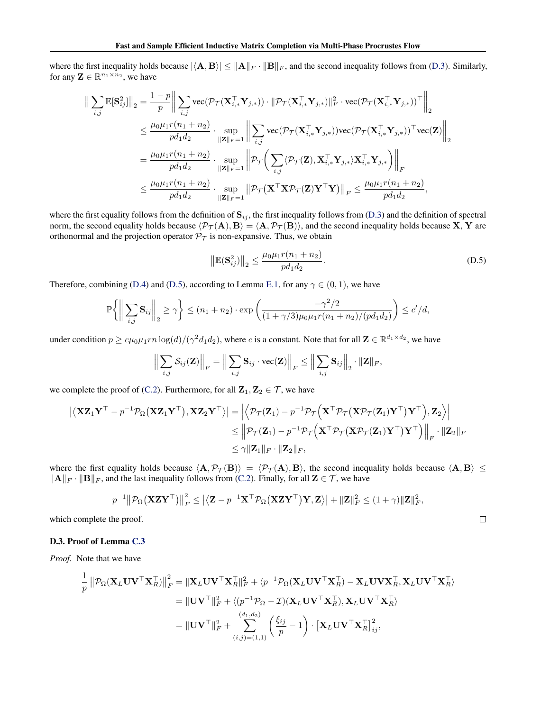where the first inequality holds because  $|\langle A, B \rangle| \le ||A||_F \cdot ||B||_F$ , and the second inequality follows from (D.3). Similarly, for any  $\mathbf{Z} \in \mathbb{R}^{n_1 \times n_2}$ , we have

$$
\begin{split} \left\| \sum_{i,j} \mathbb{E}[\mathbf{S}_{ij}^{2}] \right\|_{2} &= \frac{1-p}{p} \bigg\| \sum_{i,j} \text{vec}(\mathcal{P}_{\mathcal{T}}(\mathbf{X}_{i,*}^{\top} \mathbf{Y}_{j,*})) \cdot \|\mathcal{P}_{\mathcal{T}}(\mathbf{X}_{i,*}^{\top} \mathbf{Y}_{j,*})\|_{F}^{2} \cdot \text{vec}(\mathcal{P}_{\mathcal{T}}(\mathbf{X}_{i,*}^{\top} \mathbf{Y}_{j,*}))^{\top} \bigg\|_{2} \\ &\leq \frac{\mu_{0} \mu_{1} r(n_{1}+n_{2})}{p d_{1} d_{2}} \cdot \sup_{\|\mathbf{Z}\|_{F} = 1} \bigg\| \sum_{i,j} \text{vec}(\mathcal{P}_{\mathcal{T}}(\mathbf{X}_{i,*}^{\top} \mathbf{Y}_{j,*})) \text{vec}(\mathcal{P}_{\mathcal{T}}(\mathbf{X}_{i,*}^{\top} \mathbf{Y}_{j,*}))^{\top} \text{vec}(\mathbf{Z}) \bigg\|_{2} \\ &= \frac{\mu_{0} \mu_{1} r(n_{1}+n_{2})}{p d_{1} d_{2}} \cdot \sup_{\|\mathbf{Z}\|_{F} = 1} \bigg\| \mathcal{P}_{\mathcal{T}} \bigg( \sum_{i,j} \langle \mathcal{P}_{\mathcal{T}}(\mathbf{Z}), \mathbf{X}_{i,*}^{\top} \mathbf{Y}_{j,*} \rangle \mathbf{X}_{i,*}^{\top} \mathbf{Y}_{j,*} \big) \bigg\|_{F} \\ &\leq \frac{\mu_{0} \mu_{1} r(n_{1}+n_{2})}{p d_{1} d_{2}} \cdot \sup_{\|\mathbf{Z}\|_{F} = 1} \bigg\| \mathcal{P}_{\mathcal{T}}(\mathbf{X}^{\top} \mathbf{X} \mathcal{P}_{\mathcal{T}}(\mathbf{Z}) \mathbf{Y}^{\top} \mathbf{Y}) \bigg\|_{F} \leq \frac{\mu_{0} \mu_{1} r(n_{1}+n_{2})}{p d_{1} d_{2}}, \end{split}
$$

where the first equality follows from the definition of  $S_{ij}$ , the first inequality follows from (D.3) and the definition of spectral norm, the second equality holds because  $\langle \mathcal{P}_{\mathcal{T}}(A), B \rangle = \langle A, \mathcal{P}_{\mathcal{T}}(B) \rangle$ , and the second inequality holds because X, Y are orthonormal and the projection operator  $\mathcal{P}_{\mathcal{T}}$  is non-expansive. Thus, we obtain

$$
\left\| \mathbb{E}(\mathbf{S}_{ij}^2) \right\|_2 \le \frac{\mu_0 \mu_1 r(n_1 + n_2)}{p d_1 d_2}.
$$
 (D.5)

 $\Box$ 

Therefore, combining (D.4) and (D.5), according to Lemma E.1, for any  $\gamma \in (0,1)$ , we have

$$
\mathbb{P}\bigg\{\bigg\|\sum_{i,j}\mathbf{S}_{ij}\bigg\|_2 \geq \gamma\bigg\} \leq (n_1+n_2)\cdot \exp\bigg(\frac{-\gamma^2/2}{(1+\gamma/3)\mu_0\mu_1r(n_1+n_2)/(pd_1d_2)}\bigg) \leq c'/d,
$$

under condition  $p \ge c\mu_0\mu_1rn \log(d)/(\gamma^2d_1d_2)$ , where c is a constant. Note that for all  $\mathbf{Z} \in \mathbb{R}^{d_1 \times d_2}$ , we have

$$
\Big\|\sum_{i,j}\mathcal{S}_{ij}(\mathbf{Z})\Big\|_F = \Big\|\sum_{i,j}\mathbf{S}_{ij}\cdot\mathrm{vec}(\mathbf{Z})\Big\|_F \le \Big\|\sum_{i,j}\mathbf{S}_{ij}\Big\|_2\cdot\|\mathbf{Z}\|_F,
$$

we complete the proof of (C.2). Furthermore, for all  $\mathbf{Z}_1, \mathbf{Z}_2 \in \mathcal{T}$ , we have

$$
\begin{aligned}\n\left| \langle \mathbf{X} \mathbf{Z}_1 \mathbf{Y}^\top - p^{-1} \mathcal{P}_{\Omega} (\mathbf{X} \mathbf{Z}_1 \mathbf{Y}^\top) , \mathbf{X} \mathbf{Z}_2 \mathbf{Y}^\top \rangle \right| &= \left| \langle \mathcal{P}_{\mathcal{T}} (\mathbf{Z}_1) - p^{-1} \mathcal{P}_{\mathcal{T}} \left( \mathbf{X}^\top \mathcal{P}_{\mathcal{T}} (\mathbf{X} \mathcal{P}_{\mathcal{T}} (\mathbf{Z}_1) \mathbf{Y}^\top) \mathbf{Y}^\top \right), \mathbf{Z}_2 \rangle \right| \\
&\leq \left\| \mathcal{P}_{\mathcal{T}} (\mathbf{Z}_1) - p^{-1} \mathcal{P}_{\mathcal{T}} \left( \mathbf{X}^\top \mathcal{P}_{\mathcal{T}} (\mathbf{X} \mathcal{P}_{\mathcal{T}} (\mathbf{Z}_1) \mathbf{Y}^\top) \mathbf{Y}^\top \right) \right\|_F \cdot \| \mathbf{Z}_2 \|_F \\
&\leq \gamma \| \mathbf{Z}_1 \|_F \cdot \| \mathbf{Z}_2 \|_F,\n\end{aligned}
$$

where the first equality holds because  $\langle A, P_{\mathcal{T}} (B) \rangle = \langle P_{\mathcal{T}} (A), B \rangle$ , the second inequality holds because  $\langle A, B \rangle \le$  $||A||_F \cdot ||B||_F$ , and the last inequality follows from (C.2). Finally, for all  $\mathbf{Z} \in \mathcal{T}$ , we have

$$
p^{-1} \|\mathcal{P}_{\Omega}(\mathbf{X} \mathbf{Z} \mathbf{Y}^{\top})\|_F^2 \leq \left| \langle \mathbf{Z} - p^{-1} \mathbf{X}^{\top} \mathcal{P}_{\Omega}(\mathbf{X} \mathbf{Z} \mathbf{Y}^{\top}) \mathbf{Y}, \mathbf{Z} \rangle \right| + \|\mathbf{Z}\|_F^2 \leq (1 + \gamma) \|\mathbf{Z}\|_F^2,
$$

which complete the proof.

# D.3. Proof of Lemma C.3

*Proof.* Note that we have

$$
\frac{1}{p} || \mathcal{P}_{\Omega}(\mathbf{X}_{L} \mathbf{U} \mathbf{V}^{\top} \mathbf{X}_{R}^{\top}) ||_{F}^{2} = || \mathbf{X}_{L} \mathbf{U} \mathbf{V}^{\top} \mathbf{X}_{R}^{\top} ||_{F}^{2} + \langle p^{-1} \mathcal{P}_{\Omega}(\mathbf{X}_{L} \mathbf{U} \mathbf{V}^{\top} \mathbf{X}_{R}^{\top}) - \mathbf{X}_{L} \mathbf{U} \mathbf{V} \mathbf{X}_{R}^{\top}, \mathbf{X}_{L} \mathbf{U} \mathbf{V}^{\top} \mathbf{X}_{R}^{\top} \rangle
$$
\n
$$
= || \mathbf{U} \mathbf{V}^{\top} ||_{F}^{2} + \langle (p^{-1} \mathcal{P}_{\Omega} - \mathcal{I})(\mathbf{X}_{L} \mathbf{U} \mathbf{V}^{\top} \mathbf{X}_{R}^{\top}), \mathbf{X}_{L} \mathbf{U} \mathbf{V}^{\top} \mathbf{X}_{R}^{\top} \rangle
$$
\n
$$
= || \mathbf{U} \mathbf{V}^{\top} ||_{F}^{2} + \sum_{(i,j)=(1,1)}^{(d_1,d_2)} \left( \frac{\xi_{ij}}{p} - 1 \right) \cdot \left[ \mathbf{X}_{L} \mathbf{U} \mathbf{V}^{\top} \mathbf{X}_{R}^{\top} \right]_{ij}^{2},
$$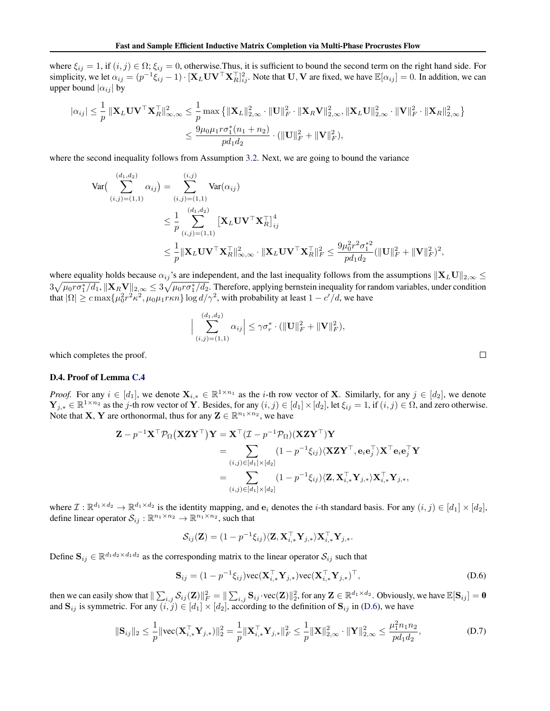where  $\xi_{ij} = 1$ , if  $(i, j) \in \Omega$ ;  $\xi_{ij} = 0$ , otherwise. Thus, it is sufficient to bound the second term on the right hand side. For simplicity, we let  $\alpha_{ij} = (p^{-1}\xi_{ij} - 1) \cdot [\mathbf{X}_L \mathbf{U} \mathbf{V}^\top \mathbf{X}_{R}^\top]_{ij}^2$ . Note that  $\mathbf{U}, \mathbf{V}$  are fixed, we have  $\mathbb{E}[\alpha_{ij}] = 0$ . In addition, we can upper bound  $|\alpha_{ij}|$  by

$$
|\alpha_{ij}| \leq \frac{1}{p} \|\mathbf{X}_{L} \mathbf{U} \mathbf{V}^{\top} \mathbf{X}_{R}^{\top}\|_{\infty,\infty}^{2} \leq \frac{1}{p} \max \{ \|\mathbf{X}_{L}\|_{2,\infty}^{2} \cdot \|\mathbf{U}\|_{F}^{2} \cdot \|\mathbf{X}_{R} \mathbf{V}\|_{2,\infty}^{2}, \|\mathbf{X}_{L} \mathbf{U}\|_{2,\infty}^{2} \cdot \|\mathbf{V}\|_{F}^{2} \cdot \|\mathbf{X}_{R}\|_{2,\infty}^{2} \}\leq \frac{9 \mu_{0} \mu_{1} r \sigma_{1}^{*}(n_{1}+n_{2})}{p d_{1} d_{2}} \cdot (\|\mathbf{U}\|_{F}^{2} + \|\mathbf{V}\|_{F}^{2}),
$$

where the second inequality follows from Assumption 3.2. Next, we are going to bound the variance

$$
\operatorname{Var}\left(\sum_{(i,j)=(1,1)}^{(d_1,d_2)} \alpha_{ij}\right) = \sum_{(i,j)=(1,1)}^{(i,j)} \operatorname{Var}(\alpha_{ij})
$$
  
\$\leq \frac{1}{p} \sum\_{(i,j)=(1,1)}^{(d\_1,d\_2)} \left[\mathbf{X}\_L \mathbf{U} \mathbf{V}^\top \mathbf{X}\_R^\top\right]\_{ij}^4\$  
\$\leq \frac{1}{p} \|\mathbf{X}\_L \mathbf{U} \mathbf{V}^\top \mathbf{X}\_R^\top\|\_{\infty,\infty}^2 \cdot \|\mathbf{X}\_L \mathbf{U} \mathbf{V}^\top \mathbf{X}\_R^\top\|\_F^2 \leq \frac{9\mu\_0^2 r^2 \sigma\_1^{\*2}}{pd\_1 d\_2} (\|\mathbf{U}\|\_F^2 + \|\mathbf{V}\|\_F^2)^2\$,

where equality holds because  $\alpha_{ij}$ 's are independent, and the last inequality follows from the assumptions  $\|\mathbf{X}_L\mathbf{U}\|_{2,\infty} \leq$  $3\sqrt{\mu_0r\sigma_1^*/d_1}$ ,  $\|\mathbf{X}_R\mathbf{V}\|_{2,\infty}\leq 3\sqrt{\mu_0r\sigma_1^*/d_2}$ . Therefore, applying bernstein inequality for random variables, under condition that  $|\Omega| \geq c \max\{\mu_0^2 r^2 \kappa^2, \mu_0 \mu_1 r \kappa n\} \log d/\gamma^2$ , with probability at least  $1 - c'/d$ , we have

$$
\Big|\sum_{(i,j)=(1,1)}^{(d_1,d_2)} \alpha_{ij}\Big| \leq \gamma \sigma_r^* \cdot (\|\mathbf{U}\|_F^2 + \|\mathbf{V}\|_F^2),
$$

 $\Box$ 

which completes the proof.

### D.4. Proof of Lemma C.4

*Proof.* For any  $i \in [d_1]$ , we denote  $\mathbf{X}_{i,*} \in \mathbb{R}^{1 \times n_1}$  as the *i*-th row vector of **X**. Similarly, for any  $j \in [d_2]$ , we denote  $\mathbf{Y}_{j,*} \in \mathbb{R}^{1 \times n_2}$  as the j-th row vector of Y. Besides, for any  $(i, j) \in [d_1] \times [d_2]$ , let  $\xi_{ij} = 1$ , if  $(i, j) \in \Omega$ , and zero otherwise. Note that **X**, **Y** are orthonormal, thus for any  $\mathbf{Z} \in \mathbb{R}^{n_1 \times n_2}$ , we have

$$
\mathbf{Z} - p^{-1}\mathbf{X}^{\top}\mathcal{P}_{\Omega}(\mathbf{XZY}^{\top})\mathbf{Y} = \mathbf{X}^{\top}(\mathcal{I} - p^{-1}\mathcal{P}_{\Omega})(\mathbf{XZY}^{\top})\mathbf{Y}
$$
  
\n
$$
= \sum_{(i,j)\in[d_1]\times[d_2]} (1 - p^{-1}\xi_{ij})\langle \mathbf{XZY}^{\top}, \mathbf{e}_i\mathbf{e}_j^{\top}\rangle \mathbf{X}^{\top}\mathbf{e}_i\mathbf{e}_j^{\top}\mathbf{Y}
$$
  
\n
$$
= \sum_{(i,j)\in[d_1]\times[d_2]} (1 - p^{-1}\xi_{ij})\langle \mathbf{Z}, \mathbf{X}_{i,*}^{\top}\mathbf{Y}_{j,*}\rangle \mathbf{X}_{i,*}^{\top}\mathbf{Y}_{j,*},
$$

where  $\mathcal{I}: \mathbb{R}^{d_1 \times d_2} \to \mathbb{R}^{d_1 \times d_2}$  is the identity mapping, and  $\mathbf{e}_i$  denotes the *i*-th standard basis. For any  $(i, j) \in [d_1] \times [d_2]$ , define linear operator  $\mathcal{S}_{ij} : \mathbb{R}^{n_1 \times n_2} \to \mathbb{R}^{n_1 \times n_2}$ , such that

$$
\mathcal{S}_{ij}(\mathbf{Z}) = (1 - p^{-1}\xi_{ij})\langle \mathbf{Z}, \mathbf{X}_{i,*}^{\top} \mathbf{Y}_{j,*} \rangle \mathbf{X}_{i,*}^{\top} \mathbf{Y}_{j,*}.
$$

Define  $S_{ij} \in \mathbb{R}^{d_1 d_2 \times d_1 d_2}$  as the corresponding matrix to the linear operator  $S_{ij}$  such that

$$
\mathbf{S}_{ij} = (1 - p^{-1}\xi_{ij})\text{vec}(\mathbf{X}_{i,*}^{\top}\mathbf{Y}_{j,*})\text{vec}(\mathbf{X}_{i,*}^{\top}\mathbf{Y}_{j,*})^{\top},
$$
(D.6)

then we can easily show that  $\|\sum_{i,j} \mathcal{S}_{ij}(\mathbf{Z})\|_F^2 = \|\sum_{i,j} \mathbf{S}_{ij} \cdot \text{vec}(\mathbf{Z})\|_2^2$ , for any  $\mathbf{Z} \in \mathbb{R}^{d_1 \times d_2}$ . Obviously, we have  $\mathbb{E}[\mathbf{S}_{ij}] = \mathbf{0}$ and  $S_{ij}$  is symmetric. For any  $(i, j) \in [d_1] \times [d_2]$ , according to the definition of  $S_{ij}$  in (D.6), we have

$$
\|\mathbf{S}_{ij}\|_2 \le \frac{1}{p} \|\text{vec}(\mathbf{X}_{i,*}^\top \mathbf{Y}_{j,*})\|_2^2 = \frac{1}{p} \|\mathbf{X}_{i,*}^\top \mathbf{Y}_{j,*}\|_F^2 \le \frac{1}{p} \|\mathbf{X}\|_{2,\infty}^2 \cdot \|\mathbf{Y}\|_{2,\infty}^2 \le \frac{\mu_1^2 n_1 n_2}{p d_1 d_2},
$$
\n(D.7)